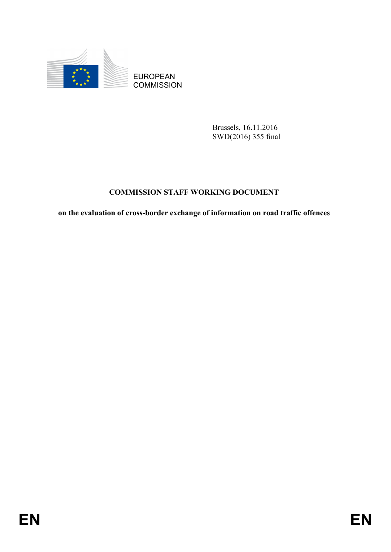

EUROPEAN **COMMISSION** 

> Brussels, 16.11.2016 SWD(2016) 355 final

# **COMMISSION STAFF WORKING DOCUMENT**

**on the evaluation of cross-border exchange of information on road traffic offences**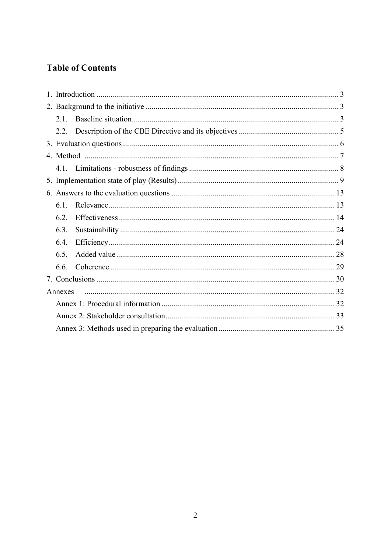# **Table of Contents**

| 2.1     |  |  |  |  |  |  |
|---------|--|--|--|--|--|--|
|         |  |  |  |  |  |  |
|         |  |  |  |  |  |  |
|         |  |  |  |  |  |  |
|         |  |  |  |  |  |  |
|         |  |  |  |  |  |  |
|         |  |  |  |  |  |  |
| 6.1     |  |  |  |  |  |  |
| 6.2.    |  |  |  |  |  |  |
| 63      |  |  |  |  |  |  |
| 6.4.    |  |  |  |  |  |  |
| 6.5.    |  |  |  |  |  |  |
| 6.6.    |  |  |  |  |  |  |
|         |  |  |  |  |  |  |
| Annexes |  |  |  |  |  |  |
|         |  |  |  |  |  |  |
|         |  |  |  |  |  |  |
|         |  |  |  |  |  |  |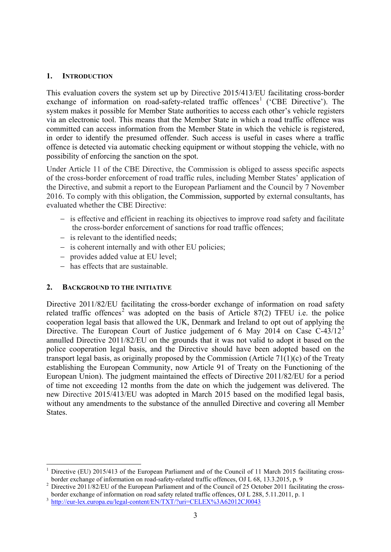#### **1. INTRODUCTION**

This evaluation covers the system set up by Directive 2015/413/EU facilitating cross-border exchange of information on road-safety-related traffic offences<sup>[1](#page-2-0)</sup> ('CBE Directive'). The system makes it possible for Member State authorities to access each other's vehicle registers via an electronic tool. This means that the Member State in which a road traffic offence was committed can access information from the Member State in which the vehicle is registered, in order to identify the presumed offender. Such access is useful in cases where a traffic offence is detected via automatic checking equipment or without stopping the vehicle, with no possibility of enforcing the sanction on the spot.

Under Article 11 of the CBE Directive, the Commission is obliged to assess specific aspects of the cross-border enforcement of road traffic rules, including Member States' application of the Directive, and submit a report to the European Parliament and the Council by 7 November 2016. To comply with this obligation, the Commission, supported by external consultants, has evaluated whether the CBE Directive:

- − is effective and efficient in reaching its objectives to improve road safety and facilitate the cross-border enforcement of sanctions for road traffic offences;
- − is relevant to the identified needs;
- − is coherent internally and with other EU policies;
- − provides added value at EU level;
- − has effects that are sustainable.

#### **2. BACKGROUND TO THE INITIATIVE**

**.** 

Directive 2011/82/EU facilitating the cross-border exchange of information on road safety related traffic offences<sup>[2](#page-2-1)</sup> was adopted on the basis of Article 87(2) TFEU i.e. the police cooperation legal basis that allowed the UK, Denmark and Ireland to opt out of applying the Directive. The European Court of Justice judgement of 6 May 2014 on Case  $C-43/12^3$  $C-43/12^3$  $C-43/12^3$ annulled Directive 2011/82/EU on the grounds that it was not valid to adopt it based on the police cooperation legal basis, and the Directive should have been adopted based on the transport legal basis, as originally proposed by the Commission (Article 71(1)(c) of the Treaty establishing the European Community, now Article 91 of Treaty on the Functioning of the European Union). The judgment maintained the effects of Directive 2011/82/EU for a period of time not exceeding 12 months from the date on which the judgement was delivered. The new Directive 2015/413/EU was adopted in March 2015 based on the modified legal basis, without any amendments to the substance of the annulled Directive and covering all Member **States**.

<span id="page-2-0"></span>Directive (EU) 2015/413 of the European Parliament and of the Council of 11 March 2015 facilitating cross-<br>border exchange of information on road-safety-related traffic offences, OJ L 68, 13.3.2015, p. 9

<span id="page-2-1"></span>Directive 2011/82/EU of the European Parliament and of the Council of 25 October 2011 facilitating the crossborder exchange of information on road safety related traffic offences, OJ L 288, 5.11.2011, p. 1<br>3 <http://eur-lex.europa.eu/legal-content/EN/TXT/?uri=CELEX%3A62012CJ0043>

<span id="page-2-2"></span>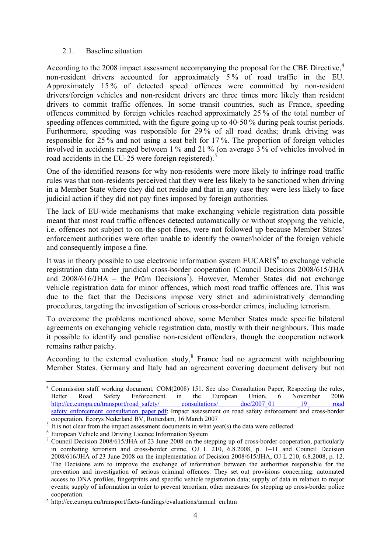#### 2.1. Baseline situation

According to the 2008 impact assessment accompanying the proposal for the CBE Directive, [4](#page-3-0) non-resident drivers accounted for approximately 5 % of road traffic in the EU. Approximately 15 % of detected speed offences were committed by non-resident drivers/foreign vehicles and non-resident drivers are three times more likely than resident drivers to commit traffic offences. In some transit countries, such as France, speeding offences committed by foreign vehicles reached approximately 25 % of the total number of speeding offences committed, with the figure going up to 40-50 % during peak tourist periods. Furthermore, speeding was responsible for 29 % of all road deaths; drunk driving was responsible for 25 % and not using a seat belt for 17 %. The proportion of foreign vehicles involved in accidents ranged between 1 % and 21 % (on average 3 % of vehicles involved in road accidents in the EU-2[5](#page-3-1) were foreign registered).<sup>5</sup>

One of the identified reasons for why non-residents were more likely to infringe road traffic rules was that non-residents perceived that they were less likely to be sanctioned when driving in a Member State where they did not reside and that in any case they were less likely to face judicial action if they did not pay fines imposed by foreign authorities.

The lack of EU-wide mechanisms that make exchanging vehicle registration data possible meant that most road traffic offences detected automatically or without stopping the vehicle, i.e. offences not subject to on-the-spot-fines, were not followed up because Member States' enforcement authorities were often unable to identify the owner/holder of the foreign vehicle and consequently impose a fine.

It was in theory possible to use electronic information system  $EUCARIS<sup>6</sup>$  $EUCARIS<sup>6</sup>$  $EUCARIS<sup>6</sup>$  to exchange vehicle registration data under juridical cross-border cooperation (Council Decisions 2008/615/JHA and 2008/616/JHA – the Prüm Decisions [7](#page-3-3) ). However, Member States did not exchange vehicle registration data for minor offences, which most road traffic offences are. This was due to the fact that the Decisions impose very strict and administratively demanding procedures, targeting the investigation of serious cross-border crimes, including terrorism.

To overcome the problems mentioned above, some Member States made specific bilateral agreements on exchanging vehicle registration data, mostly with their neighbours. This made it possible to identify and penalise non-resident offenders, though the cooperation network remains rather patchy.

According to the external evaluation study,<sup>[8](#page-3-4)</sup> France had no agreement with neighbouring Member States. Germany and Italy had an agreement covering document delivery but not

<span id="page-3-0"></span>**<sup>.</sup>** <sup>4</sup> Commission staff working document, COM(2008) 151. See also Consultation Paper, Respecting the rules, Better Road Safety Enforcement in the European Union, 6 November 2006 http://ec.europa.eu/transport/road\_safety/ consultations/ doc/2007\_01 19 road [safety\\_enforcement\\_consultation\\_paper.pdf;](http://ec.europa.eu/transport/road_safety/%20consultations/%20doc/2007_01%20_19_%20road%20safety_enforcement_consultation_paper.pdf) Impact assessment on road safety enforcement and cross-border cooperation, Ecorys Nederland BV, Rotterdam, 16 March 2007

<span id="page-3-3"></span><span id="page-3-2"></span>

<span id="page-3-1"></span><sup>&</sup>lt;sup>5</sup> It is not clear from the impact assessment documents in what year(s) the data were collected.<br><sup>6</sup> European Vehicle and Driving Licence Information System<br><sup>7</sup> Council Decision 2008/615/JHA of 23 June 2008 on the steppi in combating terrorism and cross-border crime, OJ L 210, 6.8.2008, p. 1–11 and Council Decision 2008/616/JHA of 23 June 2008 on the implementation of Decision 2008/615/JHA, OJ L 210, 6.8.2008, p. 12. The Decisions aim to improve the exchange of information between the authorities responsible for the prevention and investigation of serious criminal offences. They set out provisions concerning: automated access to DNA profiles, fingerprints and specific vehicle registration data; supply of data in relation to major events; supply of information in order to prevent terrorism; other measures for stepping up cross-border police cooperation. <sup>8</sup> [http://ec.europa.eu/transport/facts-fundings/evaluations/annual\\_en.htm](http://ec.europa.eu/transport/facts-fundings/evaluations/annual_en.htm)

<span id="page-3-4"></span>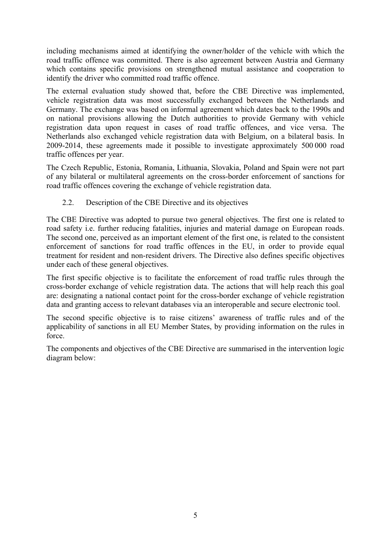including mechanisms aimed at identifying the owner/holder of the vehicle with which the road traffic offence was committed. There is also agreement between Austria and Germany which contains specific provisions on strengthened mutual assistance and cooperation to identify the driver who committed road traffic offence.

The external evaluation study showed that, before the CBE Directive was implemented, vehicle registration data was most successfully exchanged between the Netherlands and Germany. The exchange was based on informal agreement which dates back to the 1990s and on national provisions allowing the Dutch authorities to provide Germany with vehicle registration data upon request in cases of road traffic offences, and vice versa. The Netherlands also exchanged vehicle registration data with Belgium, on a bilateral basis. In 2009-2014, these agreements made it possible to investigate approximately 500 000 road traffic offences per year.

The Czech Republic, Estonia, Romania, Lithuania, Slovakia, Poland and Spain were not part of any bilateral or multilateral agreements on the cross-border enforcement of sanctions for road traffic offences covering the exchange of vehicle registration data.

## 2.2. Description of the CBE Directive and its objectives

The CBE Directive was adopted to pursue two general objectives. The first one is related to road safety i.e. further reducing fatalities, injuries and material damage on European roads. The second one, perceived as an important element of the first one, is related to the consistent enforcement of sanctions for road traffic offences in the EU, in order to provide equal treatment for resident and non-resident drivers. The Directive also defines specific objectives under each of these general objectives.

The first specific objective is to facilitate the enforcement of road traffic rules through the cross-border exchange of vehicle registration data. The actions that will help reach this goal are: designating a national contact point for the cross-border exchange of vehicle registration data and granting access to relevant databases via an interoperable and secure electronic tool.

The second specific objective is to raise citizens' awareness of traffic rules and of the applicability of sanctions in all EU Member States, by providing information on the rules in force.

The components and objectives of the CBE Directive are summarised in the intervention logic diagram below: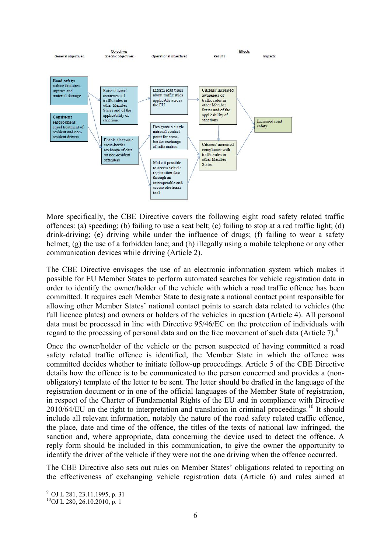

More specifically, the CBE Directive covers the following eight road safety related traffic offences: (a) speeding; (b) failing to use a seat belt; (c) failing to stop at a red traffic light; (d) drink-driving; (e) driving while under the influence of drugs; (f) failing to wear a safety helmet; (g) the use of a forbidden lane; and (h) illegally using a mobile telephone or any other communication devices while driving (Article 2).

The CBE Directive envisages the use of an electronic information system which makes it possible for EU Member States to perform automated searches for vehicle registration data in order to identify the owner/holder of the vehicle with which a road traffic offence has been committed. It requires each Member State to designate a national contact point responsible for allowing other Member States' national contact points to search data related to vehicles (the full licence plates) and owners or holders of the vehicles in question (Article 4). All personal data must be processed in line with Directive 95/46/EC on the protection of individuals with regard to the processing of personal data and on the free movement of such data (Article 7).<sup>[9](#page-5-0)</sup>

Once the owner/holder of the vehicle or the person suspected of having committed a road safety related traffic offence is identified, the Member State in which the offence was committed decides whether to initiate follow-up proceedings. Article 5 of the CBE Directive details how the offence is to be communicated to the person concerned and provides a (nonobligatory) template of the letter to be sent. The letter should be drafted in the language of the registration document or in one of the official languages of the Member State of registration, in respect of the Charter of Fundamental Rights of the EU and in compliance with Directive 20[10](#page-5-1)/64/EU on the right to interpretation and translation in criminal proceedings.<sup>10</sup> It should include all relevant information, notably the nature of the road safety related traffic offence, the place, date and time of the offence, the titles of the texts of national law infringed, the sanction and, where appropriate, data concerning the device used to detect the offence. A reply form should be included in this communication, to give the owner the opportunity to identify the driver of the vehicle if they were not the one driving when the offence occurred.

The CBE Directive also sets out rules on Member States' obligations related to reporting on the effectiveness of exchanging vehicle registration data (Article 6) and rules aimed at

**<sup>.</sup>** 

<span id="page-5-1"></span><span id="page-5-0"></span> $\frac{9}{10}$  OJ L 281, 23.11.1995, p. 31<br> $\frac{10}{10}$  L 280, 26.10.2010, p. 1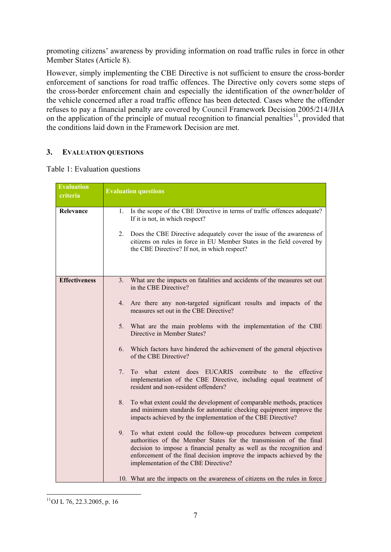promoting citizens' awareness by providing information on road traffic rules in force in other Member States (Article 8).

However, simply implementing the CBE Directive is not sufficient to ensure the cross-border enforcement of sanctions for road traffic offences. The Directive only covers some steps of the cross-border enforcement chain and especially the identification of the owner/holder of the vehicle concerned after a road traffic offence has been detected. Cases where the offender refuses to pay a financial penalty are covered by Council Framework Decision 2005/214/JHA on the application of the principle of mutual recognition to financial penalties<sup>[11](#page-6-0)</sup>, provided that the conditions laid down in the Framework Decision are met.

# **3. EVALUATION QUESTIONS**

| <b>Evaluation</b><br>criteria | <b>Evaluation questions</b>                                                                                                                                                                                                                                                                                                           |
|-------------------------------|---------------------------------------------------------------------------------------------------------------------------------------------------------------------------------------------------------------------------------------------------------------------------------------------------------------------------------------|
| Relevance                     | 1. Is the scope of the CBE Directive in terms of traffic offences adequate?<br>If it is not, in which respect?<br>2. Does the CBE Directive adequately cover the issue of the awareness of<br>citizens on rules in force in EU Member States in the field covered by<br>the CBE Directive? If not, in which respect?                  |
| <b>Effectiveness</b>          | 3. What are the impacts on fatalities and accidents of the measures set out<br>in the CBE Directive?                                                                                                                                                                                                                                  |
|                               | 4. Are there any non-targeted significant results and impacts of the<br>measures set out in the CBE Directive?                                                                                                                                                                                                                        |
|                               | 5. What are the main problems with the implementation of the CBE<br>Directive in Member States?                                                                                                                                                                                                                                       |
|                               | 6. Which factors have hindered the achievement of the general objectives<br>of the CBE Directive?                                                                                                                                                                                                                                     |
|                               | To what extent does EUCARIS contribute to the effective<br>7.<br>implementation of the CBE Directive, including equal treatment of<br>resident and non-resident offenders?                                                                                                                                                            |
|                               | To what extent could the development of comparable methods, practices<br>8.<br>and minimum standards for automatic checking equipment improve the<br>impacts achieved by the implementation of the CBE Directive?                                                                                                                     |
|                               | To what extent could the follow-up procedures between competent<br>9.<br>authorities of the Member States for the transmission of the final<br>decision to impose a financial penalty as well as the recognition and<br>enforcement of the final decision improve the impacts achieved by the<br>implementation of the CBE Directive? |
|                               | 10. What are the impacts on the awareness of citizens on the rules in force                                                                                                                                                                                                                                                           |

Table 1: Evaluation questions

<span id="page-6-0"></span>**<sup>.</sup>**  $11$ OJ L 76, 22.3.2005, p. 16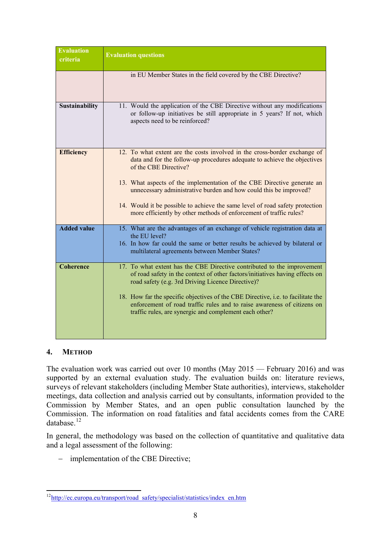| <b>Evaluation</b><br>criteria | <b>Evaluation questions</b>                                                                                                                                                                                                                                                                                                                                                                                                                                                          |
|-------------------------------|--------------------------------------------------------------------------------------------------------------------------------------------------------------------------------------------------------------------------------------------------------------------------------------------------------------------------------------------------------------------------------------------------------------------------------------------------------------------------------------|
|                               | in EU Member States in the field covered by the CBE Directive?                                                                                                                                                                                                                                                                                                                                                                                                                       |
| Sustainability                | 11. Would the application of the CBE Directive without any modifications<br>or follow-up initiatives be still appropriate in 5 years? If not, which<br>aspects need to be reinforced?                                                                                                                                                                                                                                                                                                |
| <b>Efficiency</b>             | 12. To what extent are the costs involved in the cross-border exchange of<br>data and for the follow-up procedures adequate to achieve the objectives<br>of the CBE Directive?<br>13. What aspects of the implementation of the CBE Directive generate an<br>unnecessary administrative burden and how could this be improved?<br>14. Would it be possible to achieve the same level of road safety protection<br>more efficiently by other methods of enforcement of traffic rules? |
| <b>Added value</b>            | 15. What are the advantages of an exchange of vehicle registration data at<br>the EU level?<br>16. In how far could the same or better results be achieved by bilateral or<br>multilateral agreements between Member States?                                                                                                                                                                                                                                                         |
| <b>Coherence</b>              | 17. To what extent has the CBE Directive contributed to the improvement<br>of road safety in the context of other factors/initiatives having effects on<br>road safety (e.g. 3rd Driving Licence Directive)?<br>18. How far the specific objectives of the CBE Directive, <i>i.e.</i> to facilitate the<br>enforcement of road traffic rules and to raise awareness of citizens on<br>traffic rules, are synergic and complement each other?                                         |

# **4. METHOD**

The evaluation work was carried out over 10 months (May 2015 — February 2016) and was supported by an external evaluation study. The evaluation builds on: literature reviews, surveys of relevant stakeholders (including Member State authorities), interviews, stakeholder meetings, data collection and analysis carried out by consultants, information provided to the Commission by Member States, and an open public consultation launched by the Commission. The information on road fatalities and fatal accidents comes from the CARE database.<sup>[12](#page-7-0)</sup>

In general, the methodology was based on the collection of quantitative and qualitative data and a legal assessment of the following:

− implementation of the CBE Directive;

<span id="page-7-0"></span>**<sup>.</sup>** <sup>12</sup>http://ec.europa.eu/transport/road\_safety/specialist/statistics/index\_en.htm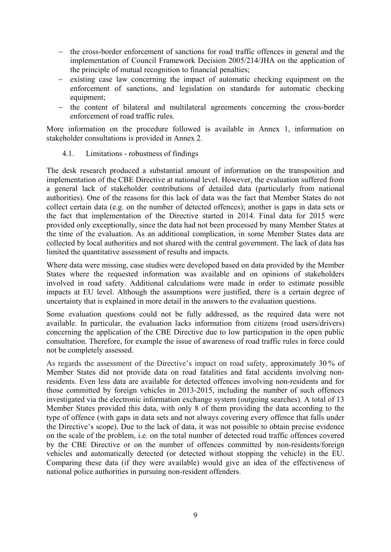- − the cross-border enforcement of sanctions for road traffic offences in general and the implementation of Council Framework Decision 2005/214/JHA on the application of the principle of mutual recognition to financial penalties;
- − existing case law concerning the impact of automatic checking equipment on the enforcement of sanctions, and legislation on standards for automatic checking equipment:
- − the content of bilateral and multilateral agreements concerning the cross-border enforcement of road traffic rules.

More information on the procedure followed is available in Annex 1, information on stakeholder consultations is provided in Annex 2.

4.1. Limitations - robustness of findings

The desk research produced a substantial amount of information on the transposition and implementation of the CBE Directive at national level. However, the evaluation suffered from a general lack of stakeholder contributions of detailed data (particularly from national authorities). One of the reasons for this lack of data was the fact that Member States do not collect certain data (e.g. on the number of detected offences); another is gaps in data sets or the fact that implementation of the Directive started in 2014. Final data for 2015 were provided only exceptionally, since the data had not been processed by many Member States at the time of the evaluation. As an additional complication, in some Member States data are collected by local authorities and not shared with the central government. The lack of data has limited the quantitative assessment of results and impacts.

Where data were missing, case studies were developed based on data provided by the Member States where the requested information was available and on opinions of stakeholders involved in road safety. Additional calculations were made in order to estimate possible impacts at EU level. Although the assumptions were justified, there is a certain degree of uncertainty that is explained in more detail in the answers to the evaluation questions.

Some evaluation questions could not be fully addressed, as the required data were not available. In particular, the evaluation lacks information from citizens (road users/drivers) concerning the application of the CBE Directive due to low participation in the open public consultation. Therefore, for example the issue of awareness of road traffic rules in force could not be completely assessed.

As regards the assessment of the Directive's impact on road safety, approximately 30 % of Member States did not provide data on road fatalities and fatal accidents involving nonresidents. Even less data are available for detected offences involving non-residents and for those committed by foreign vehicles in 2013-2015, including the number of such offences investigated via the electronic information exchange system (outgoing searches). A total of 13 Member States provided this data, with only 8 of them providing the data according to the type of offence (with gaps in data sets and not always covering every offence that falls under the Directive's scope). Due to the lack of data, it was not possible to obtain precise evidence on the scale of the problem, i.e. on the total number of detected road traffic offences covered by the CBE Directive or on the number of offences committed by non-residents/foreign vehicles and automatically detected (or detected without stopping the vehicle) in the EU. Comparing these data (if they were available) would give an idea of the effectiveness of national police authorities in pursuing non-resident offenders.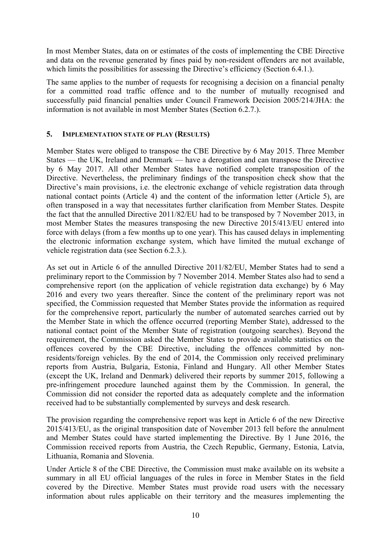In most Member States, data on or estimates of the costs of implementing the CBE Directive and data on the revenue generated by fines paid by non-resident offenders are not available, which limits the possibilities for assessing the Directive's efficiency (Section 6.4.1.).

The same applies to the number of requests for recognising a decision on a financial penalty for a committed road traffic offence and to the number of mutually recognised and successfully paid financial penalties under Council Framework Decision 2005/214/JHA: the information is not available in most Member States (Section 6.2.7.).

## **5. IMPLEMENTATION STATE OF PLAY (RESULTS)**

Member States were obliged to transpose the CBE Directive by 6 May 2015. Three Member States — the UK, Ireland and Denmark — have a derogation and can transpose the Directive by 6 May 2017. All other Member States have notified complete transposition of the Directive. Nevertheless, the preliminary findings of the transposition check show that the Directive's main provisions, i.e. the electronic exchange of vehicle registration data through national contact points (Article 4) and the content of the information letter (Article 5), are often transposed in a way that necessitates further clarification from Member States. Despite the fact that the annulled Directive 2011/82/EU had to be transposed by 7 November 2013, in most Member States the measures transposing the new Directive 2015/413/EU entered into force with delays (from a few months up to one year). This has caused delays in implementing the electronic information exchange system, which have limited the mutual exchange of vehicle registration data (see Section 6.2.3.).

As set out in Article 6 of the annulled Directive 2011/82/EU, Member States had to send a preliminary report to the Commission by 7 November 2014. Member States also had to send a comprehensive report (on the application of vehicle registration data exchange) by 6 May 2016 and every two years thereafter. Since the content of the preliminary report was not specified, the Commission requested that Member States provide the information as required for the comprehensive report, particularly the number of automated searches carried out by the Member State in which the offence occurred (reporting Member State), addressed to the national contact point of the Member State of registration (outgoing searches). Beyond the requirement, the Commission asked the Member States to provide available statistics on the offences covered by the CBE Directive, including the offences committed by nonresidents/foreign vehicles. By the end of 2014, the Commission only received preliminary reports from Austria, Bulgaria, Estonia, Finland and Hungary. All other Member States (except the UK, Ireland and Denmark) delivered their reports by summer 2015, following a pre-infringement procedure launched against them by the Commission. In general, the Commission did not consider the reported data as adequately complete and the information received had to be substantially complemented by surveys and desk research.

The provision regarding the comprehensive report was kept in Article 6 of the new Directive 2015/413/EU, as the original transposition date of November 2013 fell before the annulment and Member States could have started implementing the Directive. By 1 June 2016, the Commission received reports from Austria, the Czech Republic, Germany, Estonia, Latvia, Lithuania, Romania and Slovenia.

Under Article 8 of the CBE Directive, the Commission must make available on its website a summary in all EU official languages of the rules in force in Member States in the field covered by the Directive. Member States must provide road users with the necessary information about rules applicable on their territory and the measures implementing the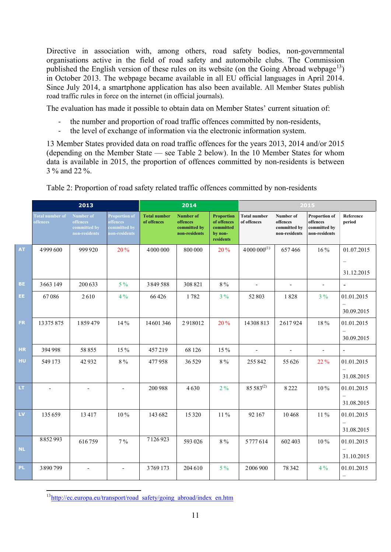Directive in association with, among others, road safety bodies, non-governmental organisations active in the field of road safety and automobile clubs. The Commission published the English version of these rules on its website (on the Going Abroad webpage<sup>13</sup>) in October 2013. The webpage became available in all EU official languages in April 2014. Since July 2014, a smartphone application has also been available. All Member States publish road traffic rules in force on the internet (in official journals).

The evaluation has made it possible to obtain data on Member States' current situation of:

- ‐ the number and proportion of road traffic offences committed by non-residents,
- ‐ the level of exchange of information via the electronic information system.

13 Member States provided data on road traffic offences for the years 2013, 2014 and/or 2015 (depending on the Member State — see Table 2 below). In the 10 Member States for whom data is available in 2015, the proportion of offences committed by non-residents is between 3 % and 22 %.

|                  |                                    | 2013                                                   |                                                                   |                                    | 2014                                                          |                                                                       | 2015                               |                                                        |                                                                   |                                        |
|------------------|------------------------------------|--------------------------------------------------------|-------------------------------------------------------------------|------------------------------------|---------------------------------------------------------------|-----------------------------------------------------------------------|------------------------------------|--------------------------------------------------------|-------------------------------------------------------------------|----------------------------------------|
|                  | <b>Total number of</b><br>offences | Number of<br>offences<br>committed by<br>non-residents | <b>Proportion of</b><br>offences<br>committed by<br>non-residents | <b>Total number</b><br>of offences | <b>Number of</b><br>offences<br>committed by<br>non-residents | <b>Proportion</b><br>of offences<br>committed<br>by non-<br>residents | <b>Total number</b><br>of offences | Number of<br>offences<br>committed by<br>non-residents | <b>Proportion of</b><br>offences<br>committed by<br>non-residents | Reference<br>period                    |
| <b>AT</b>        | 4999600                            | 999 920                                                | 20%                                                               | 4000000                            | 800 000                                                       | 20%                                                                   | $4000000^{(1)}$                    | 657466                                                 | 16%                                                               | 01.07.2015                             |
|                  |                                    |                                                        |                                                                   |                                    |                                                               |                                                                       |                                    |                                                        |                                                                   | $\overline{\phantom{m}}$<br>31.12.2015 |
| <b>BE</b>        | 3663 149                           | 200 633                                                | $5\%$                                                             | 3849588                            | 308 821                                                       | $8\,\%$                                                               | $\overline{\phantom{a}}$           | $\overline{\phantom{a}}$                               | $\overline{\phantom{a}}$                                          | $\blacksquare$                         |
| EE.              | 67086                              | 2610                                                   | $4\%$                                                             | 66426                              | 1782                                                          | $3\%$                                                                 | 52 803                             | 1828                                                   | $3\%$                                                             | 01.01.2015                             |
|                  |                                    |                                                        |                                                                   |                                    |                                                               |                                                                       |                                    |                                                        |                                                                   | 30.09.2015                             |
| <b>FR</b>        | 13375875                           | 1859479                                                | 14 %                                                              | 14601346                           | 2918012                                                       | 20%                                                                   | 14308813                           | 2617924                                                | 18%                                                               | 01.01.2015                             |
|                  |                                    |                                                        |                                                                   |                                    |                                                               |                                                                       |                                    |                                                        |                                                                   | 30.09.2015                             |
| <b>HR</b>        | 394 998                            | 58855                                                  | 15 %                                                              | 457219                             | 68 1 26                                                       | 15%                                                                   | $\overline{\phantom{a}}$           | $\overline{\phantom{a}}$                               | $\overline{\phantom{a}}$                                          | $\overline{\phantom{a}}$               |
| HU               | 549 173                            | 42932                                                  | $8\%$                                                             | 477958                             | 36 5 29                                                       | $8\,\%$                                                               | 255 842                            | 55 626                                                 | 22 %                                                              | 01.01.2015                             |
|                  |                                    |                                                        |                                                                   |                                    |                                                               |                                                                       |                                    |                                                        |                                                                   | 31.08.2015                             |
| LT               |                                    | $\overline{\phantom{a}}$                               |                                                                   | 200 988                            | 4630                                                          | $2\%$                                                                 | 85 5 83(2)                         | 8222                                                   | 10%                                                               | 01.01.2015                             |
|                  |                                    |                                                        |                                                                   |                                    |                                                               |                                                                       |                                    |                                                        |                                                                   | 31.08.2015                             |
| ${\sf L}{\sf V}$ | 135 659                            | 13417                                                  | 10%                                                               | 143 682                            | 15 3 20                                                       | 11%                                                                   | 92 167                             | 10468                                                  | 11%                                                               | 01.01.2015                             |
|                  |                                    |                                                        |                                                                   |                                    |                                                               |                                                                       |                                    |                                                        |                                                                   | 31.08.2015                             |
|                  | 8852993                            | 616759                                                 | $7\%$                                                             | 7126923                            | 593 026                                                       | 8%                                                                    | 5777614                            | 602 403                                                | $10\%$                                                            | 01.01.2015                             |
| <b>NL</b>        |                                    |                                                        |                                                                   |                                    |                                                               |                                                                       |                                    |                                                        |                                                                   | 31.10.2015                             |
| <b>PL</b>        | 3890799                            |                                                        |                                                                   | 3769173                            | 204 610                                                       | $5\%$                                                                 | 2006 900                           | 78 342                                                 | $4\%$                                                             | 01.01.2015                             |

Table 2: Proportion of road safety related traffic offences committed by non-residents

<span id="page-10-0"></span>**<sup>.</sup>** <sup>13</sup>http://ec.europa.eu/transport/road\_safety/going\_abroad/index\_en.htm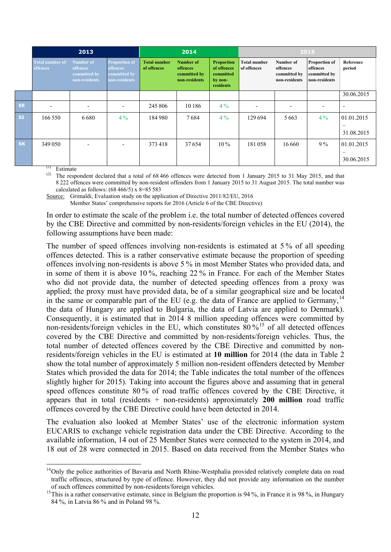|           |                                    | 2013                                                          |                                                                          |                                    | 2014                                                          |                                                                       | 2015                               |                                                        |                                                                   |                          |  |  |
|-----------|------------------------------------|---------------------------------------------------------------|--------------------------------------------------------------------------|------------------------------------|---------------------------------------------------------------|-----------------------------------------------------------------------|------------------------------------|--------------------------------------------------------|-------------------------------------------------------------------|--------------------------|--|--|
|           | <b>Total number of</b><br>offences | Number of<br><b>offences</b><br>committed by<br>non-residents | <b>Proportion of</b><br><b>offences</b><br>committed by<br>non-residents | <b>Total number</b><br>of offences | <b>Number of</b><br>offences<br>committed by<br>non-residents | <b>Proportion</b><br>of offences<br>committed<br>by non-<br>residents | <b>Total number</b><br>of offences | Number of<br>offences<br>committed by<br>non-residents | <b>Proportion of</b><br>offences<br>committed by<br>non-residents | Reference<br>period      |  |  |
|           |                                    |                                                               |                                                                          |                                    |                                                               |                                                                       |                                    |                                                        |                                                                   | 30.06.2015               |  |  |
| <b>SE</b> | $\overline{\phantom{0}}$           | $\overline{\phantom{a}}$                                      | $\overline{\phantom{0}}$                                                 | 245 806                            | 10 18 6                                                       | $4\%$                                                                 | $\overline{\phantom{a}}$           | $\overline{\phantom{0}}$                               | $\overline{a}$                                                    | $\overline{\phantom{a}}$ |  |  |
| <b>SI</b> | 166 550                            | 6680                                                          | $4\%$                                                                    | 184980                             | 7684                                                          | $4\%$                                                                 | 129 694                            | 5 6 6 3                                                | $4\%$                                                             | 01.01.2015               |  |  |
|           |                                    |                                                               |                                                                          |                                    |                                                               |                                                                       |                                    |                                                        |                                                                   | 31.08.2015               |  |  |
| <b>SK</b> | 349 050                            | $\qquad \qquad \blacksquare$                                  |                                                                          | 373418                             | 37654                                                         | $10\%$                                                                | 181058                             | 16 6 6 0                                               | $9\%$                                                             | 01.01.2015               |  |  |
|           |                                    |                                                               |                                                                          |                                    |                                                               |                                                                       |                                    |                                                        |                                                                   | 30.06.2015               |  |  |

(1) Estimate

**.** 

(2) The respondent declared that a total of  $68\,466$  offences were detected from 1 January 2015 to 31 May 2015, and that 8 222 offences were committed by non-resident offenders from 1 January 2015 to 31 August 2015. The total number was calculated as follows:  $(68\,466/5)$  x 8=85 583

Source: Grimaldi, Evaluation study on the application of Directive 2011/82/EU, 2016

Member States' comprehensive reports for 2016 (Article 6 of the CBE Directive)

In order to estimate the scale of the problem i.e. the total number of detected offences covered by the CBE Directive and committed by non-residents/foreign vehicles in the EU (2014), the following assumptions have been made:

The number of speed offences involving non-residents is estimated at 5 % of all speeding offences detected. This is a rather conservative estimate because the proportion of speeding offences involving non-residents is above 5 % in most Member States who provided data, and in some of them it is above 10 %, reaching 22 % in France. For each of the Member States who did not provide data, the number of detected speeding offences from a proxy was applied; the proxy must have provided data, be of a similar geographical size and be located in the same or comparable part of the EU (e.g. the data of France are applied to Germany,<sup>[14](#page-11-0)</sup> the data of Hungary are applied to Bulgaria, the data of Latvia are applied to Denmark). Consequently, it is estimated that in 2014 8 million speeding offences were committed by non-residents/foreign vehicles in the EU, which constitutes  $80\%$ <sup>[15](#page-11-1)</sup> of all detected offences covered by the CBE Directive and committed by non-residents/foreign vehicles. Thus, the total number of detected offences covered by the CBE Directive and committed by nonresidents/foreign vehicles in the EU is estimated at **10 million** for 2014 (the data in Table 2 show the total number of approximately 5 million non-resident offenders detected by Member States which provided the data for 2014; the Table indicates the total number of the offences slightly higher for 2015). Taking into account the figures above and assuming that in general speed offences constitute 80 % of road traffic offences covered by the CBE Directive, it appears that in total (residents + non-residents) approximately **200 million** road traffic offences covered by the CBE Directive could have been detected in 2014.

The evaluation also looked at Member States' use of the electronic information system EUCARIS to exchange vehicle registration data under the CBE Directive. According to the available information, 14 out of 25 Member States were connected to the system in 2014, and 18 out of 28 were connected in 2015. Based on data received from the Member States who

<span id="page-11-0"></span><sup>&</sup>lt;sup>14</sup>Only the police authorities of Bavaria and North Rhine-Westphalia provided relatively complete data on road traffic offences, structured by type of offence. However, they did not provide any information on the number

<span id="page-11-1"></span><sup>&</sup>lt;sup>15</sup>This is a rather conservative estimate, since in Belgium the proportion is 94 %, in France it is 98 %, in Hungary 84 %, in Latvia 86 % and in Poland 98 %.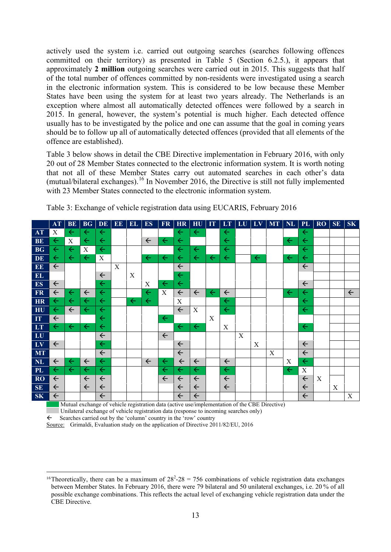actively used the system i.e. carried out outgoing searches (searches following offences committed on their territory) as presented in Table 5 (Section 6.2.5.), it appears that approximately **2 million** outgoing searches were carried out in 2015. This suggests that half of the total number of offences committed by non-residents were investigated using a search in the electronic information system. This is considered to be low because these Member States have been using the system for at least two years already. The Netherlands is an exception where almost all automatically detected offences were followed by a search in 2015. In general, however, the system's potential is much higher. Each detected offence usually has to be investigated by the police and one can assume that the goal in coming years should be to follow up all of automatically detected offences (provided that all elements of the offence are established).

Table 3 below shows in detail the CBE Directive implementation in February 2016, with only 20 out of 28 Member States connected to the electronic information system. It is worth noting that not all of these Member States carry out automated searches in each other's data (mutual/bilateral exchanges). [16](#page-12-0) In November 2016, the Directive is still not fully implemented with 23 Member States connected to the electronic information system.

|                                | <b>AT</b>    | <b>BE</b>        | <b>BG</b>    | DE           | <b>EE</b> | <b>EL</b>    | <b>ES</b>    | <b>FR</b>    | <b>HR</b>    | HU           | IT           | LT           | LU | $L_{\rm V}$  | <b>MT</b> | <b>NL</b>    | <b>PL</b>    | <b>RO</b> | <b>SE</b> | <b>SK</b>    |
|--------------------------------|--------------|------------------|--------------|--------------|-----------|--------------|--------------|--------------|--------------|--------------|--------------|--------------|----|--------------|-----------|--------------|--------------|-----------|-----------|--------------|
| <b>AT</b>                      | X            | $\leftarrow$     | $\leftarrow$ | $\leftarrow$ |           |              |              |              | $\leftarrow$ | $\leftarrow$ |              | $\leftarrow$ |    |              |           |              | $\leftarrow$ |           |           |              |
| <b>BE</b>                      | $\leftarrow$ | $\boldsymbol{X}$ | $\leftarrow$ | $\leftarrow$ |           |              | $\leftarrow$ | $\leftarrow$ | $\leftarrow$ |              |              | $\leftarrow$ |    |              |           | $\leftarrow$ | $\leftarrow$ |           |           |              |
| <b>BG</b>                      | $\leftarrow$ | $\leftarrow$     | X            | $\leftarrow$ |           |              |              |              | $\leftarrow$ | $\leftarrow$ |              | $\leftarrow$ |    |              |           |              | $\leftarrow$ |           |           |              |
| DE                             | $\leftarrow$ | $\leftarrow$     | $\leftarrow$ | X            |           |              | $\leftarrow$ | $\leftarrow$ | $\leftarrow$ | $\leftarrow$ | $\leftarrow$ | $\leftarrow$ |    | $\leftarrow$ |           | $\leftarrow$ | $\leftarrow$ |           |           |              |
| EE                             | $\leftarrow$ |                  |              |              | X         |              |              |              | $\leftarrow$ |              |              |              |    |              |           |              | $\leftarrow$ |           |           |              |
| EL                             |              |                  |              | $\leftarrow$ |           | X            |              |              | $\leftarrow$ |              |              |              |    |              |           |              |              |           |           |              |
| ES                             | $\leftarrow$ |                  |              | $\leftarrow$ |           |              | X            | $\leftarrow$ | $\leftarrow$ |              |              |              |    |              |           |              | $\leftarrow$ |           |           |              |
| FR                             | $\leftarrow$ | $\leftarrow$     | $\leftarrow$ | $\leftarrow$ |           |              | $\leftarrow$ | X            | $\leftarrow$ | $\leftarrow$ | $\leftarrow$ | $\leftarrow$ |    |              |           | $\leftarrow$ | $\leftarrow$ |           |           | $\leftarrow$ |
| HR                             | $\leftarrow$ | $\leftarrow$     | $\leftarrow$ | $\leftarrow$ |           | $\leftarrow$ | $\leftarrow$ |              | $\mathbf X$  |              |              | $\leftarrow$ |    |              |           |              | $\leftarrow$ |           |           |              |
| HU                             | $\leftarrow$ | $\leftarrow$     | $\leftarrow$ | $\leftarrow$ |           |              |              |              | $\leftarrow$ | X            |              | $\leftarrow$ |    |              |           |              | $\leftarrow$ |           |           |              |
| IT                             | $\leftarrow$ |                  |              | $\leftarrow$ |           |              |              | $\leftarrow$ |              |              | X            |              |    |              |           |              |              |           |           |              |
| LT                             | $\leftarrow$ | $\leftarrow$     | $\leftarrow$ | $\leftarrow$ |           |              |              |              | $\leftarrow$ | $\leftarrow$ |              | $\mathbf X$  |    |              |           |              | $\leftarrow$ |           |           |              |
| LU                             |              |                  |              | $\leftarrow$ |           |              |              | $\leftarrow$ |              |              |              |              | X  |              |           |              |              |           |           |              |
| $\boxed{\mathbf{L}\mathbf{V}}$ | $\leftarrow$ |                  |              | $\leftarrow$ |           |              |              |              | $\leftarrow$ |              |              |              |    | X            |           |              | $\leftarrow$ |           |           |              |
| MT                             |              |                  |              | $\leftarrow$ |           |              |              |              | $\leftarrow$ |              |              |              |    |              | X         |              | $\leftarrow$ |           |           |              |
| <b>NL</b>                      | $\leftarrow$ | $\leftarrow$     | $\leftarrow$ | $\leftarrow$ |           |              | $\leftarrow$ | $\leftarrow$ | $\leftarrow$ | $\leftarrow$ |              | $\leftarrow$ |    |              |           | X            | $\leftarrow$ |           |           |              |
| <b>PL</b>                      | $\leftarrow$ | $\leftarrow$     | $\leftarrow$ | $\leftarrow$ |           |              |              | $\leftarrow$ | $\leftarrow$ | $\leftarrow$ |              | $\leftarrow$ |    |              |           | $\leftarrow$ | X            |           |           |              |
| RO <sub>1</sub>                | $\leftarrow$ |                  | $\leftarrow$ | $\leftarrow$ |           |              |              | $\leftarrow$ | $\leftarrow$ | $\leftarrow$ |              | $\leftarrow$ |    |              |           |              | $\leftarrow$ | X         |           |              |
| SE                             | $\leftarrow$ |                  | $\leftarrow$ | $\leftarrow$ |           |              |              |              | $\leftarrow$ | $\leftarrow$ |              | $\leftarrow$ |    |              |           |              | $\leftarrow$ |           | X         |              |
| SK                             | $\leftarrow$ |                  |              | $\leftarrow$ |           |              |              |              | $\leftarrow$ | $\leftarrow$ |              |              |    |              |           |              | $\leftarrow$ |           |           | X            |

Table 3: Exchange of vehicle registration data using EUCARIS, February 2016

Mutual exchange of vehicle registration data (active use/implementation of the CBE Directive)

Unilateral exchange of vehicle registration data (response to incoming searches only)

 $\leftarrow$  Searches carried out by the 'column' country in the 'row' country

**.** 

Source: Grimaldi, Evaluation study on the application of Directive 2011/82/EU, 2016

<span id="page-12-0"></span><sup>&</sup>lt;sup>16</sup>Theoretically, there can be a maximum of  $28^2 - 28 = 756$  combinations of vehicle registration data exchanges between Member States. In February 2016, there were 79 bilateral and 50 unilateral exchanges, i.e. 20 % of all possible exchange combinations. This reflects the actual level of exchanging vehicle registration data under the CBE Directive.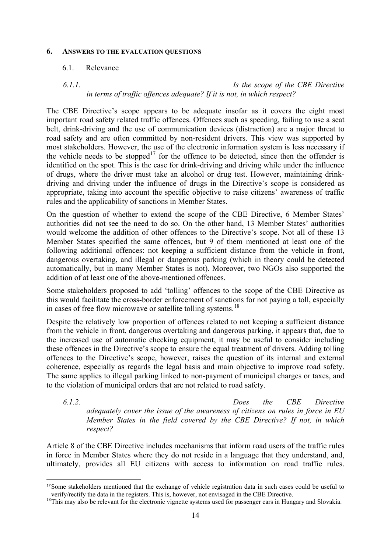#### **6. ANSWERS TO THE EVALUATION QUESTIONS**

#### 6.1. Relevance

 $\overline{a}$ 

# *6.1.1. Is the scope of the CBE Directive in terms of traffic offences adequate? If it is not, in which respect?*

The CBE Directive's scope appears to be adequate insofar as it covers the eight most important road safety related traffic offences. Offences such as speeding, failing to use a seat belt, drink-driving and the use of communication devices (distraction) are a major threat to road safety and are often committed by non-resident drivers. This view was supported by most stakeholders. However, the use of the electronic information system is less necessary if the vehicle needs to be stopped<sup>[17](#page-13-0)</sup> for the offence to be detected, since then the offender is identified on the spot. This is the case for drink-driving and driving while under the influence of drugs, where the driver must take an alcohol or drug test. However, maintaining drinkdriving and driving under the influence of drugs in the Directive's scope is considered as appropriate, taking into account the specific objective to raise citizens' awareness of traffic rules and the applicability of sanctions in Member States.

On the question of whether to extend the scope of the CBE Directive, 6 Member States' authorities did not see the need to do so. On the other hand, 13 Member States' authorities would welcome the addition of other offences to the Directive's scope. Not all of these 13 Member States specified the same offences, but 9 of them mentioned at least one of the following additional offences: not keeping a sufficient distance from the vehicle in front, dangerous overtaking, and illegal or dangerous parking (which in theory could be detected automatically, but in many Member States is not). Moreover, two NGOs also supported the addition of at least one of the above-mentioned offences.

Some stakeholders proposed to add 'tolling' offences to the scope of the CBE Directive as this would facilitate the cross-border enforcement of sanctions for not paying a toll, especially in cases of free flow microwave or satellite tolling systems.<sup>[18](#page-13-1)</sup>

Despite the relatively low proportion of offences related to not keeping a sufficient distance from the vehicle in front, dangerous overtaking and dangerous parking, it appears that, due to the increased use of automatic checking equipment, it may be useful to consider including these offences in the Directive's scope to ensure the equal treatment of drivers. Adding tolling offences to the Directive's scope, however, raises the question of its internal and external coherence, especially as regards the legal basis and main objective to improve road safety. The same applies to illegal parking linked to non-payment of municipal charges or taxes, and to the violation of municipal orders that are not related to road safety.

*6.1.2. Does the CBE Directive adequately cover the issue of the awareness of citizens on rules in force in EU Member States in the field covered by the CBE Directive? If not, in which respect?*

Article 8 of the CBE Directive includes mechanisms that inform road users of the traffic rules in force in Member States where they do not reside in a language that they understand, and, ultimately, provides all EU citizens with access to information on road traffic rules.

<span id="page-13-0"></span><sup>&</sup>lt;sup>17</sup>Some stakeholders mentioned that the exchange of vehicle registration data in such cases could be useful to verify/rectify the data in the registers. This is, however, not envisaged in the CBE Directive.

<span id="page-13-1"></span> $18$ This mav also be relevant for the electronic vignette systems used for passenger cars in Hungary and Slovakia.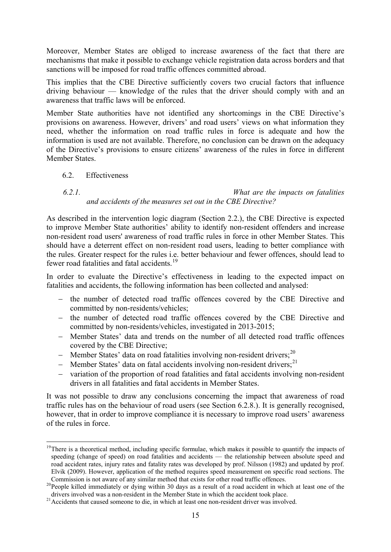Moreover, Member States are obliged to increase awareness of the fact that there are mechanisms that make it possible to exchange vehicle registration data across borders and that sanctions will be imposed for road traffic offences committed abroad.

This implies that the CBE Directive sufficiently covers two crucial factors that influence driving behaviour — knowledge of the rules that the driver should comply with and an awareness that traffic laws will be enforced.

Member State authorities have not identified any shortcomings in the CBE Directive's provisions on awareness. However, drivers' and road users' views on what information they need, whether the information on road traffic rules in force is adequate and how the information is used are not available. Therefore, no conclusion can be drawn on the adequacy of the Directive's provisions to ensure citizens' awareness of the rules in force in different Member States.

6.2. Effectiveness

**.** 

# *6.2.1. What are the impacts on fatalities and accidents of the measures set out in the CBE Directive?*

As described in the intervention logic diagram (Section 2.2.), the CBE Directive is expected to improve Member State authorities' ability to identify non-resident offenders and increase non-resident road users' awareness of road traffic rules in force in other Member States. This should have a deterrent effect on non-resident road users, leading to better compliance with the rules. Greater respect for the rules i.e. better behaviour and fewer offences, should lead to fewer road fatalities and fatal accidents.<sup>[19](#page-14-0)</sup>

In order to evaluate the Directive's effectiveness in leading to the expected impact on fatalities and accidents, the following information has been collected and analysed:

- − the number of detected road traffic offences covered by the CBE Directive and committed by non-residents/vehicles;
- − the number of detected road traffic offences covered by the CBE Directive and committed by non-residents/vehicles, investigated in 2013-2015;
- − Member States' data and trends on the number of all detected road traffic offences covered by the CBE Directive;
- − Member States' data on road fatalities involving non-resident drivers;<sup>[20](#page-14-1)</sup>
- − Member States' data on fatal accidents involving non-resident drivers;<sup>[21](#page-14-2)</sup>
- − variation of the proportion of road fatalities and fatal accidents involving non-resident drivers in all fatalities and fatal accidents in Member States.

It was not possible to draw any conclusions concerning the impact that awareness of road traffic rules has on the behaviour of road users (see Section 6.2.8.). It is generally recognised, however, that in order to improve compliance it is necessary to improve road users' awareness of the rules in force.

<span id="page-14-0"></span> $19$ There is a theoretical method, including specific formulae, which makes it possible to quantify the impacts of speeding (change of speed) on road fatalities and accidents — the relationship between absolute speed and road accident rates, injury rates and fatality rates was developed by prof. Nilsson (1982) and updated by prof. Elvik (2009). However, application of the method requires speed measurement on specific road sections. The

<span id="page-14-1"></span><sup>&</sup>lt;sup>20</sup> People killed immediately or dying within 30 days as a result of a road accident in which at least one of the drivers involved was a non-resident in the Member State in which the accident took place.

<span id="page-14-2"></span>drivers involved was a non-resident in the Member State in which the accident to the accident to the accident to die, in which at least one non-resident driver was involved.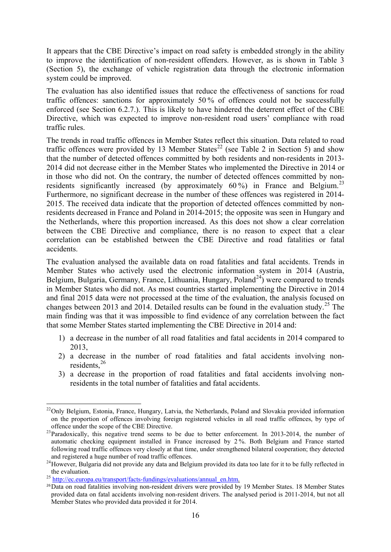It appears that the CBE Directive's impact on road safety is embedded strongly in the ability to improve the identification of non-resident offenders. However, as is shown in Table 3 (Section 5), the exchange of vehicle registration data through the electronic information system could be improved.

The evaluation has also identified issues that reduce the effectiveness of sanctions for road traffic offences: sanctions for approximately 50 % of offences could not be successfully enforced (see Section 6.2.7.). This is likely to have hindered the deterrent effect of the CBE Directive, which was expected to improve non-resident road users' compliance with road traffic rules.

The trends in road traffic offences in Member States reflect this situation. Data related to road traffic offences were provided by 13 Member States<sup>[22](#page-15-0)</sup> (see Table 2 in Section 5) and show that the number of detected offences committed by both residents and non-residents in 2013- 2014 did not decrease either in the Member States who implemented the Directive in 2014 or in those who did not. On the contrary, the number of detected offences committed by non-residents significantly increased (by approximately 60%) in France and Belgium.<sup>[23](#page-15-1)</sup> Furthermore, no significant decrease in the number of these offences was registered in 2014- 2015. The received data indicate that the proportion of detected offences committed by nonresidents decreased in France and Poland in 2014-2015; the opposite was seen in Hungary and the Netherlands, where this proportion increased. As this does not show a clear correlation between the CBE Directive and compliance, there is no reason to expect that a clear correlation can be established between the CBE Directive and road fatalities or fatal accidents.

The evaluation analysed the available data on road fatalities and fatal accidents. Trends in Member States who actively used the electronic information system in 2014 (Austria, Belgium, Bulgaria, Germany, France, Lithuania, Hungary, Poland<sup>[24](#page-15-2)</sup>) were compared to trends in Member States who did not. As most countries started implementing the Directive in 2014 and final 2015 data were not processed at the time of the evaluation, the analysis focused on changes between 2013 and 2014. Detailed results can be found in the evaluation study.<sup>[25](#page-15-3)</sup> The main finding was that it was impossible to find evidence of any correlation between the fact that some Member States started implementing the CBE Directive in 2014 and:

- 1) a decrease in the number of all road fatalities and fatal accidents in 2014 compared to 2013,
- 2) a decrease in the number of road fatalities and fatal accidents involving nonresidents, [26](#page-15-4)
- 3) a decrease in the proportion of road fatalities and fatal accidents involving nonresidents in the total number of fatalities and fatal accidents.

<span id="page-15-0"></span>**<sup>.</sup>** <sup>22</sup>Only Belgium, Estonia, France, Hungary, Latvia, the Netherlands, Poland and Slovakia provided information on the proportion of offences involving foreign registered vehicles in all road traffic offences, by type of

<span id="page-15-1"></span> $^{23}$ Paradoxically, this negative trend seems to be due to better enforcement. In 2013-2014, the number of automatic checking equipment installed in France increased by 2 %. Both Belgium and France started following road traffic offences very closely at that time, under strengthened bilateral cooperation; they detected

<span id="page-15-2"></span><sup>&</sup>lt;sup>24</sup>However, Bulgaria did not provide any data and Belgium provided its data too late for it to be fully reflected in

<span id="page-15-3"></span>the evaluation.<br><sup>25</sup> [http://ec.europa.eu/transport/facts-fundings/evaluations/annual\\_en.htm.](http://ec.europa.eu/transport/facts-fundings/evaluations/annual_en.htm)

<span id="page-15-4"></span><sup>&</sup>lt;sup>26</sup>Data on road fatalities involving non-resident drivers were provided by 19 Member States. 18 Member States provided data on fatal accidents involving non-resident drivers. The analysed period is 2011-2014, but not all Member States who provided data provided it for 2014.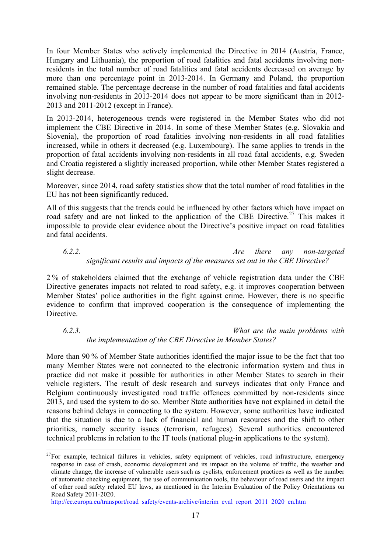In four Member States who actively implemented the Directive in 2014 (Austria, France, Hungary and Lithuania), the proportion of road fatalities and fatal accidents involving nonresidents in the total number of road fatalities and fatal accidents decreased on average by more than one percentage point in 2013-2014. In Germany and Poland, the proportion remained stable. The percentage decrease in the number of road fatalities and fatal accidents involving non-residents in 2013-2014 does not appear to be more significant than in 2012- 2013 and 2011-2012 (except in France).

In 2013-2014, heterogeneous trends were registered in the Member States who did not implement the CBE Directive in 2014. In some of these Member States (e.g. Slovakia and Slovenia), the proportion of road fatalities involving non-residents in all road fatalities increased, while in others it decreased (e.g. Luxembourg). The same applies to trends in the proportion of fatal accidents involving non-residents in all road fatal accidents, e.g. Sweden and Croatia registered a slightly increased proportion, while other Member States registered a slight decrease.

Moreover, since 2014, road safety statistics show that the total number of road fatalities in the EU has not been significantly reduced.

All of this suggests that the trends could be influenced by other factors which have impact on road safety and are not linked to the application of the CBE Directive.<sup>[27](#page-16-0)</sup> This makes it impossible to provide clear evidence about the Directive's positive impact on road fatalities and fatal accidents.

*6.2.2. Are there any non-targeted significant results and impacts of the measures set out in the CBE Directive?*

2 % of stakeholders claimed that the exchange of vehicle registration data under the CBE Directive generates impacts not related to road safety, e.g. it improves cooperation between Member States' police authorities in the fight against crime. However, there is no specific evidence to confirm that improved cooperation is the consequence of implementing the **Directive** 

*6.2.3. What are the main problems with the implementation of the CBE Directive in Member States?*

More than 90 % of Member State authorities identified the major issue to be the fact that too many Member States were not connected to the electronic information system and thus in practice did not make it possible for authorities in other Member States to search in their vehicle registers. The result of desk research and surveys indicates that only France and Belgium continuously investigated road traffic offences committed by non-residents since 2013, and used the system to do so. Member State authorities have not explained in detail the reasons behind delays in connecting to the system. However, some authorities have indicated that the situation is due to a lack of financial and human resources and the shift to other priorities, namely security issues (terrorism, refugees). Several authorities encountered technical problems in relation to the IT tools (national plug-in applications to the system).

<span id="page-16-0"></span> $\overline{a}$  $27$ For example, technical failures in vehicles, safety equipment of vehicles, road infrastructure, emergency response in case of crash, economic development and its impact on the volume of traffic, the weather and climate change, the increase of vulnerable users such as cyclists, enforcement practices as well as the number of automatic checking equipment, the use of communication tools, the behaviour of road users and the impact of other road safety related EU laws, as mentioned in the Interim Evaluation of the Policy Orientations on Road Safety 2011-2020.

[http://ec.europa.eu/transport/road\\_safety/events-archive/interim\\_eval\\_report\\_2011\\_2020\\_en.htm](http://ec.europa.eu/transport/road_safety/events-archive/interim_eval_report_2011_2020_en.htm)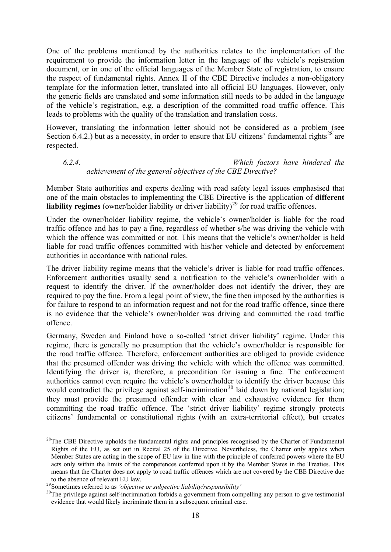One of the problems mentioned by the authorities relates to the implementation of the requirement to provide the information letter in the language of the vehicle's registration document, or in one of the official languages of the Member State of registration, to ensure the respect of fundamental rights. Annex II of the CBE Directive includes a non-obligatory template for the information letter, translated into all official EU languages. However, only the generic fields are translated and some information still needs to be added in the language of the vehicle's registration, e.g. a description of the committed road traffic offence. This leads to problems with the quality of the translation and translation costs.

However, translating the information letter should not be considered as a problem (see Section 6.4.2.) but as a necessity, in order to ensure that EU citizens' fundamental rights<sup>[28](#page-17-0)</sup> are respected.

## *6.2.4. Which factors have hindered the achievement of the general objectives of the CBE Directive?*

Member State authorities and experts dealing with road safety legal issues emphasised that one of the main obstacles to implementing the CBE Directive is the application of **different**  liability regimes (owner/holder liability or driver liability)<sup>[29](#page-17-1)</sup> for road traffic offences.

Under the owner/holder liability regime, the vehicle's owner/holder is liable for the road traffic offence and has to pay a fine, regardless of whether s/he was driving the vehicle with which the offence was committed or not. This means that the vehicle's owner/holder is held liable for road traffic offences committed with his/her vehicle and detected by enforcement authorities in accordance with national rules.

The driver liability regime means that the vehicle's driver is liable for road traffic offences. Enforcement authorities usually send a notification to the vehicle's owner/holder with a request to identify the driver. If the owner/holder does not identify the driver, they are required to pay the fine. From a legal point of view, the fine then imposed by the authorities is for failure to respond to an information request and not for the road traffic offence, since there is no evidence that the vehicle's owner/holder was driving and committed the road traffic offence.

Germany, Sweden and Finland have a so-called 'strict driver liability' regime. Under this regime, there is generally no presumption that the vehicle's owner/holder is responsible for the road traffic offence. Therefore, enforcement authorities are obliged to provide evidence that the presumed offender was driving the vehicle with which the offence was committed. Identifying the driver is, therefore, a precondition for issuing a fine. The enforcement authorities cannot even require the vehicle's owner/holder to identify the driver because this would contradict the privilege against self-incrimination<sup>[30](#page-17-2)</sup> laid down by national legislation; they must provide the presumed offender with clear and exhaustive evidence for them committing the road traffic offence. The 'strict driver liability' regime strongly protects citizens' fundamental or constitutional rights (with an extra-territorial effect), but creates

 $\overline{a}$ 

<span id="page-17-0"></span> $28$ The CBE Directive upholds the fundamental rights and principles recognised by the Charter of Fundamental Rights of the EU, as set out in Recital 25 of the Directive. Nevertheless, the Charter only applies when Member States are acting in the scope of EU law in line with the principle of conferred powers where the EU acts only within the limits of the competences conferred upon it by the Member States in the Treaties. This means that the Charter does not apply to road traffic offences which are not covered by the CBE Directive due

<span id="page-17-2"></span>

<span id="page-17-1"></span><sup>&</sup>lt;sup>29</sup>Sometimes referred to as *'objective or subjective liability/responsibility'*<br><sup>30</sup>The privilege against self-incrimination forbids a government from compelling any person to give testimonial evidence that would likely incriminate them in a subsequent criminal case.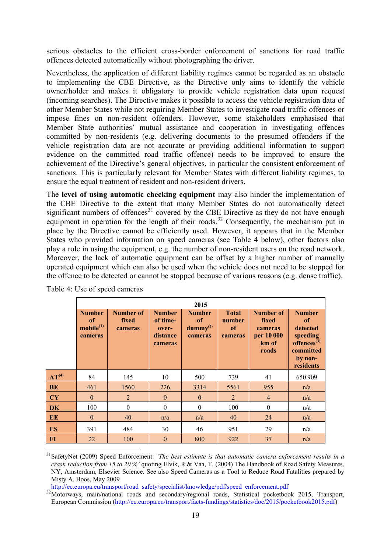serious obstacles to the efficient cross-border enforcement of sanctions for road traffic offences detected automatically without photographing the driver.

Nevertheless, the application of different liability regimes cannot be regarded as an obstacle to implementing the CBE Directive, as the Directive only aims to identify the vehicle owner/holder and makes it obligatory to provide vehicle registration data upon request (incoming searches). The Directive makes it possible to access the vehicle registration data of other Member States while not requiring Member States to investigate road traffic offences or impose fines on non-resident offenders. However, some stakeholders emphasised that Member State authorities' mutual assistance and cooperation in investigating offences committed by non-residents (e.g. delivering documents to the presumed offenders if the vehicle registration data are not accurate or providing additional information to support evidence on the committed road traffic offence) needs to be improved to ensure the achievement of the Directive's general objectives, in particular the consistent enforcement of sanctions. This is particularly relevant for Member States with different liability regimes, to ensure the equal treatment of resident and non-resident drivers.

The **level of using automatic checking equipment** may also hinder the implementation of the CBE Directive to the extent that many Member States do not automatically detect significant numbers of offences<sup>[31](#page-18-0)</sup> covered by the CBE Directive as they do not have enough equipment in operation for the length of their roads.<sup>[32](#page-18-1)</sup> Consequently, the mechanism put in place by the Directive cannot be efficiently used. However, it appears that in the Member States who provided information on speed cameras (see Table 4 below), other factors also play a role in using the equipment, e.g. the number of non-resident users on the road network. Moreover, the lack of automatic equipment can be offset by a higher number of manually operated equipment which can also be used when the vehicle does not need to be stopped for the offence to be detected or cannot be stopped because of various reasons (e.g. dense traffic).

|                                   | 2015                                                    |                               |                                                           |                                                  |                                         |                                                               |                                                                                                             |  |  |
|-----------------------------------|---------------------------------------------------------|-------------------------------|-----------------------------------------------------------|--------------------------------------------------|-----------------------------------------|---------------------------------------------------------------|-------------------------------------------------------------------------------------------------------------|--|--|
|                                   | <b>Number</b><br>of<br>$\text{mobile}^{(1)}$<br>cameras | Number of<br>fixed<br>cameras | <b>Number</b><br>of time-<br>over-<br>distance<br>cameras | <b>Number</b><br>of<br>$d$ ummy $(2)$<br>cameras | <b>Total</b><br>number<br>of<br>cameras | Number of<br>fixed<br>cameras<br>per 10 000<br>km of<br>roads | <b>Number</b><br>of<br>detected<br>speeding<br>offences <sup>(3)</sup><br>committed<br>by non-<br>residents |  |  |
| AT <sup>(4)</sup>                 | 84                                                      | 145                           | 10                                                        | 500                                              | 739                                     | 41                                                            | 650 909                                                                                                     |  |  |
| BE                                | 461                                                     | 1560                          | 226                                                       | 3314                                             | 5561                                    | 955                                                           | n/a                                                                                                         |  |  |
| $\overline{\mathbf{C}\mathbf{Y}}$ | $\theta$                                                | $\overline{2}$                | $\mathbf{0}$                                              | $\mathbf{0}$                                     | $\overline{2}$                          | $\overline{4}$                                                | n/a                                                                                                         |  |  |
| DK                                | 100                                                     | $\theta$                      | $\theta$                                                  | $\boldsymbol{0}$                                 | 100                                     | $\theta$                                                      | n/a                                                                                                         |  |  |
| EE                                | $\theta$                                                | 40                            | n/a                                                       | n/a                                              | 40                                      | 24                                                            | n/a                                                                                                         |  |  |
| ES                                | 391                                                     | 484                           | 30                                                        | 46                                               | 951                                     | 29                                                            | n/a                                                                                                         |  |  |
| FI                                | 22                                                      | 100                           | $\theta$                                                  | 800                                              | 922                                     | 37                                                            | n/a                                                                                                         |  |  |

Table 4: Use of speed cameras

**.** 

<span id="page-18-0"></span><sup>&</sup>lt;sup>31</sup>SafetyNet (2009) Speed Enforcement: *'The best estimate is that automatic camera enforcement results in a crash reduction from 15 to 20 %'* quoting Elvik, R.& Vaa, T. (2004) The Handbook of Road Safety Measures. NY, Amsterdam, Elsevier Science. See also Speed Cameras as a Tool to Reduce Road Fatalities prepared by Misty A. Boos, May 2009<br>http://ec.europa.eu/transport/road\_safety/specialist/knowledge/pdf/speed\_enforcement.pdf

<span id="page-18-1"></span><sup>&</sup>lt;sup>32</sup>Motorways, main/national roads and secondary/regional roads, Statistical pocketbook 2015, Transport, European Commission [\(http://ec.europa.eu/transport/facts-fundings/statistics/doc/2015/pocketbook2015.pdf\)](http://ec.europa.eu/transport/facts-fundings/statistics/doc/2015/pocketbook2015.pdf)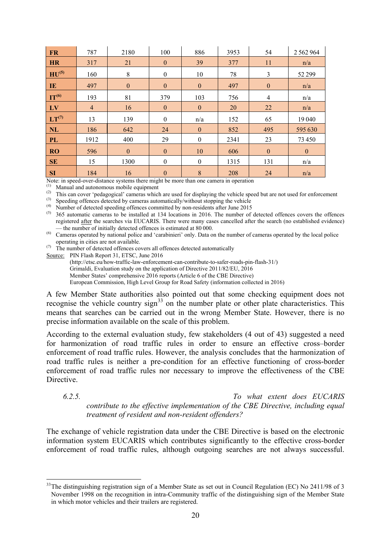| <b>FR</b>             | 787            | 2180         | 100              | 886              | 3953 | 54           | 2562964      |
|-----------------------|----------------|--------------|------------------|------------------|------|--------------|--------------|
| <b>HR</b>             | 317            | 21           | $\boldsymbol{0}$ | 39               | 377  | 11           | n/a          |
| $H\overline{U^{(5)}}$ | 160            | 8            | $\boldsymbol{0}$ | 10               | 78   | 3            | 52 299       |
| $\mathbf{I}$ <b>E</b> | 497            | $\mathbf{0}$ | $\mathbf{0}$     | $\mathbf{0}$     | 497  | $\mathbf{0}$ | n/a          |
| $\Pi^{(6)}$           | 193            | 81           | 379              | 103              | 756  | 4            | n/a          |
| $\mathbf{L}$          | $\overline{4}$ | 16           | $\boldsymbol{0}$ | $\mathbf{0}$     | 20   | 22           | n/a          |
| $LT^{(7)}$            | 13             | 139          | $\mathbf{0}$     | n/a              | 152  | 65           | 19 04 0      |
| NL                    | 186            | 642          | 24               | $\boldsymbol{0}$ | 852  | 495          | 595 630      |
| <b>PL</b>             | 1912           | 400          | 29               | $\mathbf{0}$     | 2341 | 23           | 73 450       |
| <b>RO</b>             | 596            | $\mathbf{0}$ | $\mathbf{0}$     | 10               | 606  | $\mathbf{0}$ | $\mathbf{0}$ |
| <b>SE</b>             | 15             | 1300         | $\mathbf{0}$     | $\mathbf{0}$     | 1315 | 131          | n/a          |
| <b>SI</b>             | 184            | 16           | $\boldsymbol{0}$ | 8                | 208  | 24           | n/a          |

Note: in speed-over-distance systems there might be more than one camera in operation

(1) Manual and autonomous mobile equipment

(2) This can cover 'pedagogical' cameras which are used for displaying the vehicle speed but are not used for enforcement

(3) Speeding offences detected by cameras automatically/without stopping the vehicle

(4) Number of detected speeding offences committed by non-residents after June 2015

 $(5)$  365 automatic cameras to be installed at 134 locations in 2016. The number of detected offences covers the offences registered <u>after</u> the searches via EUCARIS. There were many cases cancelled after the search (no established evidence) — the number of initially detected offences is estimated at 80 000.

 $^{(6)}$  Cameras operated by national police and 'carabinieri' only. Data on the number of cameras operated by the local police operating in cities are not available.

 $(7)$  The number of detected offences covers all offences detected automatically

Source: PIN Flash Report 31, ETSC, June 2016

(http://etsc.eu/how-traffic-law-enforcement-can-contribute-to-safer-roads-pin-flash-31/) Grimaldi, Evaluation study on the application of Directive 2011/82/EU, 2016 Member States' comprehensive 2016 reports (Article 6 of the CBE Directive) European Commission, High Level Group for Road Safety (information collected in 2016)

A few Member State authorities also pointed out that some checking equipment does not recognise the vehicle country sign $33$  on the number plate or other plate characteristics. This means that searches can be carried out in the wrong Member State. However, there is no precise information available on the scale of this problem.

According to the external evaluation study, few stakeholders (4 out of 43) suggested a need for harmonization of road traffic rules in order to ensure an effective cross–border enforcement of road traffic rules. However, the analysis concludes that the harmonization of road traffic rules is neither a pre-condition for an effective functioning of cross-border enforcement of road traffic rules nor necessary to improve the effectiveness of the CBE **Directive** 

 $\overline{a}$ 

*6.2.5. To what extent does EUCARIS contribute to the effective implementation of the CBE Directive, including equal treatment of resident and non-resident offenders?*

The exchange of vehicle registration data under the CBE Directive is based on the electronic information system EUCARIS which contributes significantly to the effective cross-border enforcement of road traffic rules, although outgoing searches are not always successful.

<span id="page-19-0"></span> $33$ The distinguishing registration sign of a Member State as set out in Council Regulation (EC) No 2411/98 of 3 November 1998 on the recognition in intra-Community traffic of the distinguishing sign of the Member State in which motor vehicles and their trailers are registered.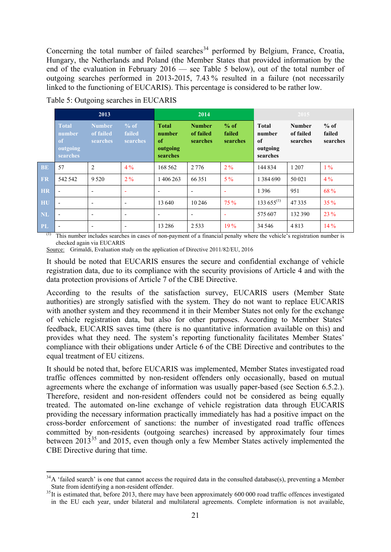Concerning the total number of failed searches<sup>[34](#page-20-0)</sup> performed by Belgium, France, Croatia, Hungary, the Netherlands and Poland (the Member States that provided information by the end of the evaluation in February 2016 — see Table 5 below), out of the total number of outgoing searches performed in 2013-2015, 7.43 % resulted in a failure (not necessarily linked to the functioning of EUCARIS). This percentage is considered to be rather low.

|           |                                                      | 2013                                   |                            |                                                      | 2014                                   |                              | $120\overline{15}$                                   |                                        |                              |  |
|-----------|------------------------------------------------------|----------------------------------------|----------------------------|------------------------------------------------------|----------------------------------------|------------------------------|------------------------------------------------------|----------------------------------------|------------------------------|--|
|           | <b>Total</b><br>number<br>of<br>outgoing<br>searches | <b>Number</b><br>of failed<br>searches | % of<br>failed<br>searches | <b>Total</b><br>number<br>of<br>outgoing<br>searches | <b>Number</b><br>of failed<br>searches | $%$ of<br>failed<br>searches | <b>Total</b><br>number<br>of<br>outgoing<br>searches | <b>Number</b><br>of failed<br>searches | $%$ of<br>failed<br>searches |  |
| <b>BE</b> | 57                                                   | $\overline{2}$                         | $4\%$                      | 168 562                                              | 2 7 7 6                                | $2\%$                        | 144 834                                              | 1 2 0 7                                | $1\%$                        |  |
| <b>FR</b> | 542 542                                              | 9 5 2 0                                | 2%                         | 1 406 263                                            | 66 351                                 | $5\%$                        | 1 3 8 4 6 9 0                                        | 50 021                                 | 4%                           |  |
| <b>HR</b> | $\overline{\phantom{a}}$                             | $\overline{\phantom{a}}$               | ۰                          | $\overline{\phantom{0}}$                             | $\overline{\phantom{a}}$               | ۰                            | 1396                                                 | 951                                    | 68 %                         |  |
| HU        | $\overline{\phantom{a}}$                             | $\overline{\phantom{a}}$               | $\overline{\phantom{a}}$   | 13 640                                               | 10 24 6                                | 75 %                         | $133\,655^{(1)}$                                     | 47335                                  | 35%                          |  |
| <b>NL</b> | $\overline{\phantom{a}}$                             | $\overline{\phantom{a}}$               | $\overline{\phantom{a}}$   | $\overline{\phantom{0}}$                             | $\overline{\phantom{a}}$               | ۰                            | 575 607                                              | 132 390                                | 23%                          |  |
| <b>PL</b> | $\overline{\phantom{a}}$                             | ٠                                      | $\overline{\phantom{a}}$   | 13 2 8 6                                             | 2533                                   | 19%                          | 34 5 46                                              | 4813                                   | 14%                          |  |

Table 5: Outgoing searches in EUCARIS

**.** 

(1) This number includes searches in cases of non-payment of a financial penalty where the vehicle's registration number is checked again via EUCARIS

Source: Grimaldi, Evaluation study on the application of Directive 2011/82/EU, 2016

It should be noted that EUCARIS ensures the secure and confidential exchange of vehicle registration data, due to its compliance with the security provisions of Article 4 and with the data protection provisions of Article 7 of the CBE Directive.

According to the results of the satisfaction survey, EUCARIS users (Member State authorities) are strongly satisfied with the system. They do not want to replace EUCARIS with another system and they recommend it in their Member States not only for the exchange of vehicle registration data, but also for other purposes. According to Member States' feedback, EUCARIS saves time (there is no quantitative information available on this) and provides what they need. The system's reporting functionality facilitates Member States' compliance with their obligations under Article 6 of the CBE Directive and contributes to the equal treatment of EU citizens.

It should be noted that, before EUCARIS was implemented, Member States investigated road traffic offences committed by non-resident offenders only occasionally, based on mutual agreements where the exchange of information was usually paper-based (see Section 6.5.2.). Therefore, resident and non-resident offenders could not be considered as being equally treated. The automated on-line exchange of vehicle registration data through EUCARIS providing the necessary information practically immediately has had a positive impact on the cross-border enforcement of sanctions: the number of investigated road traffic offences committed by non-residents (outgoing searches) increased by approximately four times between 2013<sup>[35](#page-20-1)</sup> and 2015, even though only a few Member States actively implemented the CBE Directive during that time.

<span id="page-20-0"></span> $34\text{A}$  'failed search' is one that cannot access the required data in the consulted database(s), preventing a Member

<span id="page-20-1"></span>State from identifying a non-resident offender.<br><sup>35</sup>It is estimated that, before 2013, there may have been approximately 600 000 road traffic offences investigated in the EU each year, under bilateral and multilateral agreements. Complete information is not available,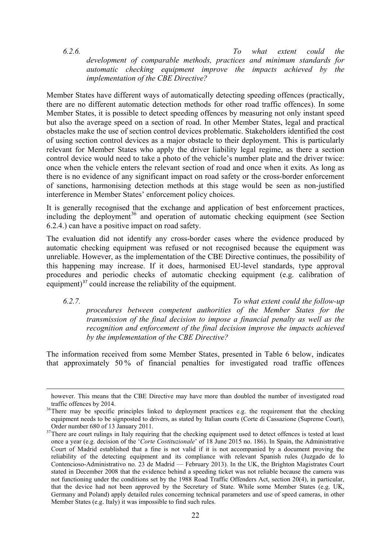*6.2.6. To what extent could the development of comparable methods, practices and minimum standards for automatic checking equipment improve the impacts achieved by the implementation of the CBE Directive?*

Member States have different ways of automatically detecting speeding offences (practically, there are no different automatic detection methods for other road traffic offences). In some Member States, it is possible to detect speeding offences by measuring not only instant speed but also the average speed on a section of road. In other Member States, legal and practical obstacles make the use of section control devices problematic. Stakeholders identified the cost of using section control devices as a major obstacle to their deployment. This is particularly relevant for Member States who apply the driver liability legal regime, as there a section control device would need to take a photo of the vehicle's number plate and the driver twice: once when the vehicle enters the relevant section of road and once when it exits. As long as there is no evidence of any significant impact on road safety or the cross-border enforcement of sanctions, harmonising detection methods at this stage would be seen as non-justified interference in Member States' enforcement policy choices.

It is generally recognised that the exchange and application of best enforcement practices, including the deployment<sup>[36](#page-21-0)</sup> and operation of automatic checking equipment (see Section 6.2.4.) can have a positive impact on road safety.

The evaluation did not identify any cross-border cases where the evidence produced by automatic checking equipment was refused or not recognised because the equipment was unreliable. However, as the implementation of the CBE Directive continues, the possibility of this happening may increase. If it does, harmonised EU-level standards, type approval procedures and periodic checks of automatic checking equipment (e.g. calibration of equipment)<sup>[37](#page-21-1)</sup> could increase the reliability of the equipment.

**.** 

*6.2.7. To what extent could the follow-up procedures between competent authorities of the Member States for the transmission of the final decision to impose a financial penalty as well as the recognition and enforcement of the final decision improve the impacts achieved by the implementation of the CBE Directive?*

The information received from some Member States, presented in Table 6 below, indicates that approximately 50 % of financial penalties for investigated road traffic offences

however. This means that the CBE Directive may have more than doubled the number of investigated road traffic offences by 2014.<br><sup>36</sup>There may be specific principles linked to deployment practices e.g. the requirement that the checking

<span id="page-21-0"></span>equipment needs to be signposted to drivers, as stated by Italian courts (Corte di Cassazione (Supreme Court), Order number 680 of 13 January 2011.

<span id="page-21-1"></span> $37$ There are court rulings in Italy requiring that the checking equipment used to detect offences is tested at least once a year (e.g. decision of the '*Corte Costituzionale*' of 18 June 2015 no. 186). In Spain, the Administrative Court of Madrid established that a fine is not valid if it is not accompanied by a document proving the reliability of the detecting equipment and its compliance with relevant Spanish rules (Juzgado de lo Contencioso-Administrativo no. 23 de Madrid — February 2013). In the UK, the Brighton Magistrates Court stated in December 2008 that the evidence behind a speeding ticket was not reliable because the camera was not functioning under the conditions set by the 1988 Road Traffic Offenders Act, section 20(4), in particular, that the device had not been approved by the Secretary of State. While some Member States (e.g. UK, Germany and Poland) apply detailed rules concerning technical parameters and use of speed cameras, in other Member States (e.g. Italy) it was impossible to find such rules.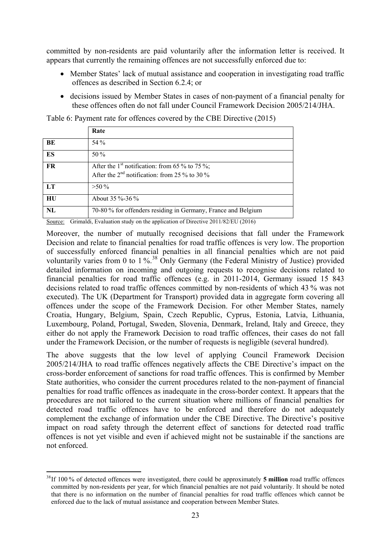committed by non-residents are paid voluntarily after the information letter is received. It appears that currently the remaining offences are not successfully enforced due to:

- Member States' lack of mutual assistance and cooperation in investigating road traffic offences as described in Section 6.2.4; or
- decisions issued by Member States in cases of non-payment of a financial penalty for these offences often do not fall under Council Framework Decision 2005/214/JHA.

|    | Rate                                                                                                          |
|----|---------------------------------------------------------------------------------------------------------------|
| BE | 54 %                                                                                                          |
| ES | $50\%$                                                                                                        |
| FR | After the 1 <sup>st</sup> notification: from 65 % to 75 %;<br>After the $2nd$ notification: from 25 % to 30 % |
| LT | $>50\%$                                                                                                       |
| HU | About 35 %-36 %                                                                                               |
| NL | 70-80 % for offenders residing in Germany, France and Belgium                                                 |

Table 6: Payment rate for offences covered by the CBE Directive (2015)

Source: Grimaldi, Evaluation study on the application of Directive 2011/82/EU (2016)

Moreover, the number of mutually recognised decisions that fall under the Framework Decision and relate to financial penalties for road traffic offences is very low. The proportion of successfully enforced financial penalties in all financial penalties which are not paid voluntarily varies from 0 to 1 %.<sup>[38](#page-22-0)</sup> Only Germany (the Federal Ministry of Justice) provided detailed information on incoming and outgoing requests to recognise decisions related to financial penalties for road traffic offences (e.g. in 2011-2014, Germany issued 15 843 decisions related to road traffic offences committed by non-residents of which 43 % was not executed). The UK (Department for Transport) provided data in aggregate form covering all offences under the scope of the Framework Decision. For other Member States, namely Croatia, Hungary, Belgium, Spain, Czech Republic, Cyprus, Estonia, Latvia, Lithuania, Luxembourg, Poland, Portugal, Sweden, Slovenia, Denmark, Ireland, Italy and Greece, they either do not apply the Framework Decision to road traffic offences, their cases do not fall under the Framework Decision, or the number of requests is negligible (several hundred).

The above suggests that the low level of applying Council Framework Decision 2005/214/JHA to road traffic offences negatively affects the CBE Directive's impact on the cross-border enforcement of sanctions for road traffic offences. This is confirmed by Member State authorities, who consider the current procedures related to the non-payment of financial penalties for road traffic offences as inadequate in the cross-border context. It appears that the procedures are not tailored to the current situation where millions of financial penalties for detected road traffic offences have to be enforced and therefore do not adequately complement the exchange of information under the CBE Directive. The Directive's positive impact on road safety through the deterrent effect of sanctions for detected road traffic offences is not yet visible and even if achieved might not be sustainable if the sanctions are not enforced.

**.** 

<span id="page-22-0"></span><sup>38</sup>If 100 % of detected offences were investigated, there could be approximately **5 million** road traffic offences committed by non-residents per year, for which financial penalties are not paid voluntarily. It should be noted that there is no information on the number of financial penalties for road traffic offences which cannot be enforced due to the lack of mutual assistance and cooperation between Member States.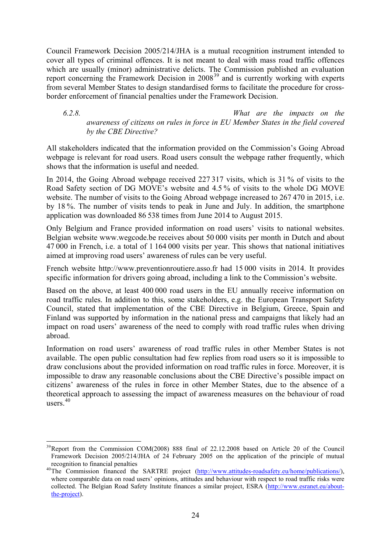Council Framework Decision 2005/214/JHA is a mutual recognition instrument intended to cover all types of criminal offences. It is not meant to deal with mass road traffic offences which are usually (minor) administrative delicts. The Commission published an evaluation report concerning the Framework Decision in 2008<sup>[39](#page-23-0)</sup> and is currently working with experts from several Member States to design standardised forms to facilitate the procedure for crossborder enforcement of financial penalties under the Framework Decision.

*6.2.8. What are the impacts on the awareness of citizens on rules in force in EU Member States in the field covered by the CBE Directive?*

All stakeholders indicated that the information provided on the Commission's Going Abroad webpage is relevant for road users. Road users consult the webpage rather frequently, which shows that the information is useful and needed.

In 2014, the Going Abroad webpage received 227 317 visits, which is 31 % of visits to the Road Safety section of DG MOVE's website and 4.5 % of visits to the whole DG MOVE website. The number of visits to the Going Abroad webpage increased to 267 470 in 2015, i.e. by 18 %. The number of visits tends to peak in June and July. In addition, the smartphone application was downloaded 86 538 times from June 2014 to August 2015.

Only Belgium and France provided information on road users' visits to national websites. Belgian website www.wegcode.be receives about 50 000 visits per month in Dutch and about 47 000 in French, i.e. a total of 1 164 000 visits per year. This shows that national initiatives aimed at improving road users' awareness of rules can be very useful.

French website http://www.preventionroutiere.asso.fr had 15 000 visits in 2014. It provides specific information for drivers going abroad, including a link to the Commission's website.

Based on the above, at least 400 000 road users in the EU annually receive information on road traffic rules. In addition to this, some stakeholders, e.g. the European Transport Safety Council, stated that implementation of the CBE Directive in Belgium, Greece, Spain and Finland was supported by information in the national press and campaigns that likely had an impact on road users' awareness of the need to comply with road traffic rules when driving abroad.

Information on road users' awareness of road traffic rules in other Member States is not available. The open public consultation had few replies from road users so it is impossible to draw conclusions about the provided information on road traffic rules in force. Moreover, it is impossible to draw any reasonable conclusions about the CBE Directive's possible impact on citizens' awareness of the rules in force in other Member States, due to the absence of a theoretical approach to assessing the impact of awareness measures on the behaviour of road users. [40](#page-23-1)

<span id="page-23-0"></span> $\overline{a}$ <sup>39</sup>Report from the Commission COM(2008) 888 final of 22.12.2008 based on Article 20 of the Council Framework Decision 2005/214/JHA of 24 February 2005 on the application of the principle of mutual

<span id="page-23-1"></span>recognition to financial penalties<br><sup>40</sup>The Commission financed the SARTRE project [\(http://www.attitudes-roadsafety.eu/home/publications/\)](http://www.attitudes-roadsafety.eu/home/publications/), where comparable data on road users' opinions, attitudes and behaviour with respect to road traffic risks were collected. The Belgian Road Safety Institute finances a similar project, ESRA [\(http://www.esranet.eu/about](http://www.esranet.eu/about-the-project)[the-project\)](http://www.esranet.eu/about-the-project).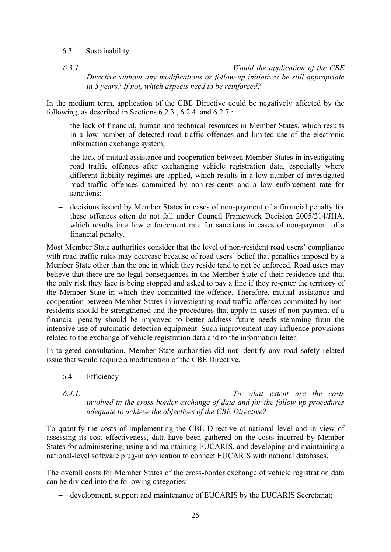#### 6.3. Sustainability

*6.3.1. Would the application of the CBE Directive without any modifications or follow-up initiatives be still appropriate in 5 years? If not, which aspects need to be reinforced?*

In the medium term, application of the CBE Directive could be negatively affected by the following, as described in Sections 6.2.3., 6.2.4. and 6.2.7.:

- − the lack of financial, human and technical resources in Member States, which results in a low number of detected road traffic offences and limited use of the electronic information exchange system;
- − the lack of mutual assistance and cooperation between Member States in investigating road traffic offences after exchanging vehicle registration data, especially where different liability regimes are applied, which results in a low number of investigated road traffic offences committed by non-residents and a low enforcement rate for sanctions:
- − decisions issued by Member States in cases of non-payment of a financial penalty for these offences often do not fall under Council Framework Decision 2005/214/JHA, which results in a low enforcement rate for sanctions in cases of non-payment of a financial penalty.

Most Member State authorities consider that the level of non-resident road users' compliance with road traffic rules may decrease because of road users' belief that penalties imposed by a Member State other than the one in which they reside tend to not be enforced. Road users may believe that there are no legal consequences in the Member State of their residence and that the only risk they face is being stopped and asked to pay a fine if they re-enter the territory of the Member State in which they committed the offence. Therefore, mutual assistance and cooperation between Member States in investigating road traffic offences committed by nonresidents should be strengthened and the procedures that apply in cases of non-payment of a financial penalty should be improved to better address future needs stemming from the intensive use of automatic detection equipment. Such improvement may influence provisions related to the exchange of vehicle registration data and to the information letter.

In targeted consultation, Member State authorities did not identify any road safety related issue that would require a modification of the CBE Directive.

- 6.4. Efficiency
- 

*6.4.1. To what extent are the costs involved in the cross-border exchange of data and for the follow-up procedures adequate to achieve the objectives of the CBE Directive?*

To quantify the costs of implementing the CBE Directive at national level and in view of assessing its cost effectiveness, data have been gathered on the costs incurred by Member States for administering, using and maintaining EUCARIS, and developing and maintaining a national-level software plug-in application to connect EUCARIS with national databases.

The overall costs for Member States of the cross-border exchange of vehicle registration data can be divided into the following categories:

− development, support and maintenance of EUCARIS by the EUCARIS Secretariat;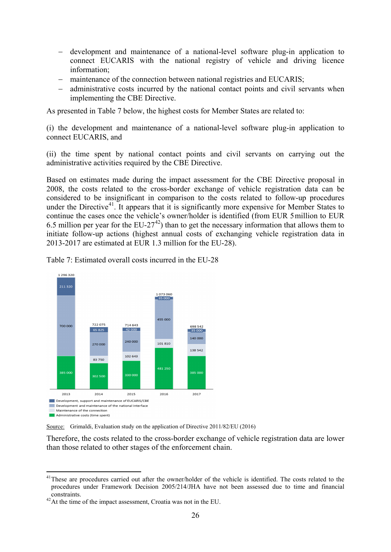- − development and maintenance of a national-level software plug-in application to connect EUCARIS with the national registry of vehicle and driving licence information;
- − maintenance of the connection between national registries and EUCARIS;
- − administrative costs incurred by the national contact points and civil servants when implementing the CBE Directive.

As presented in Table 7 below, the highest costs for Member States are related to:

(i) the development and maintenance of a national-level software plug-in application to connect EUCARIS, and

(ii) the time spent by national contact points and civil servants on carrying out the administrative activities required by the CBE Directive.

Based on estimates made during the impact assessment for the CBE Directive proposal in 2008, the costs related to the cross-border exchange of vehicle registration data can be considered to be insignificant in comparison to the costs related to follow-up procedures under the Directive<sup>41</sup>. It appears that it is significantly more expensive for Member States to continue the cases once the vehicle's owner/holder is identified (from EUR 5million to EUR 6.5 million per year for the  $EU-27^{42}$  $EU-27^{42}$  $EU-27^{42}$ ) than to get the necessary information that allows them to initiate follow-up actions (highest annual costs of exchanging vehicle registration data in 2013-2017 are estimated at EUR 1.3 million for the EU-28).



Table 7: Estimated overall costs incurred in the EU-28

Source: Grimaldi, Evaluation study on the application of Directive 2011/82/EU (2016)

Therefore, the costs related to the cross-border exchange of vehicle registration data are lower than those related to other stages of the enforcement chain.

**.** 

<span id="page-25-0"></span><sup>&</sup>lt;sup>41</sup>These are procedures carried out after the owner/holder of the vehicle is identified. The costs related to the procedures under Framework Decision 2005/214/JHA have not been assessed due to time and financial constraints. 42At the time of the impact assessment, Croatia was not in the EU.

<span id="page-25-1"></span>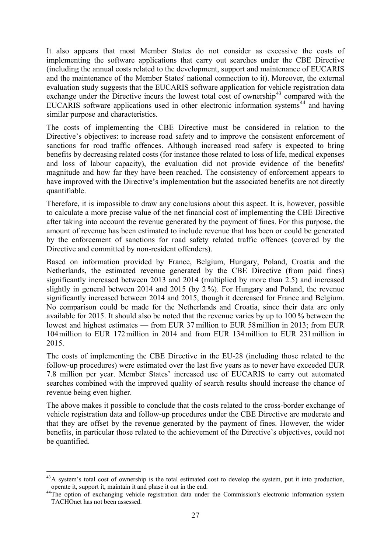It also appears that most Member States do not consider as excessive the costs of implementing the software applications that carry out searches under the CBE Directive (including the annual costs related to the development, support and maintenance of EUCARIS and the maintenance of the Member States' national connection to it). Moreover, the external evaluation study suggests that the EUCARIS software application for vehicle registration data exchange under the Directive incurs the lowest total cost of ownership<sup>[43](#page-26-0)</sup> compared with the EUCARIS software applications used in other electronic information systems<sup>[44](#page-26-1)</sup> and having similar purpose and characteristics.

The costs of implementing the CBE Directive must be considered in relation to the Directive's objectives: to increase road safety and to improve the consistent enforcement of sanctions for road traffic offences. Although increased road safety is expected to bring benefits by decreasing related costs (for instance those related to loss of life, medical expenses and loss of labour capacity), the evaluation did not provide evidence of the benefits' magnitude and how far they have been reached. The consistency of enforcement appears to have improved with the Directive's implementation but the associated benefits are not directly quantifiable.

Therefore, it is impossible to draw any conclusions about this aspect. It is, however, possible to calculate a more precise value of the net financial cost of implementing the CBE Directive after taking into account the revenue generated by the payment of fines. For this purpose, the amount of revenue has been estimated to include revenue that has been or could be generated by the enforcement of sanctions for road safety related traffic offences (covered by the Directive and committed by non-resident offenders).

Based on information provided by France, Belgium, Hungary, Poland, Croatia and the Netherlands, the estimated revenue generated by the CBE Directive (from paid fines) significantly increased between 2013 and 2014 (multiplied by more than 2.5) and increased slightly in general between 2014 and 2015 (by 2 %). For Hungary and Poland, the revenue significantly increased between 2014 and 2015, though it decreased for France and Belgium. No comparison could be made for the Netherlands and Croatia, since their data are only available for 2015. It should also be noted that the revenue varies by up to 100 % between the lowest and highest estimates — from EUR 37 million to EUR 58million in 2013; from EUR 104million to EUR 172million in 2014 and from EUR 134million to EUR 231million in 2015.

The costs of implementing the CBE Directive in the EU-28 (including those related to the follow-up procedures) were estimated over the last five years as to never have exceeded EUR 7.8 million per year. Member States' increased use of EUCARIS to carry out automated searches combined with the improved quality of search results should increase the chance of revenue being even higher.

The above makes it possible to conclude that the costs related to the cross-border exchange of vehicle registration data and follow-up procedures under the CBE Directive are moderate and that they are offset by the revenue generated by the payment of fines. However, the wider benefits, in particular those related to the achievement of the Directive's objectives, could not be quantified.

**<sup>.</sup>**  $43A$  system's total cost of ownership is the total estimated cost to develop the system, put it into production,

<span id="page-26-1"></span><span id="page-26-0"></span>operate it, support it, maintain it and phase it out in the end. 44The option of exchanging vehicle registration data under the Commission's electronic information system TACHOnet has not been assessed.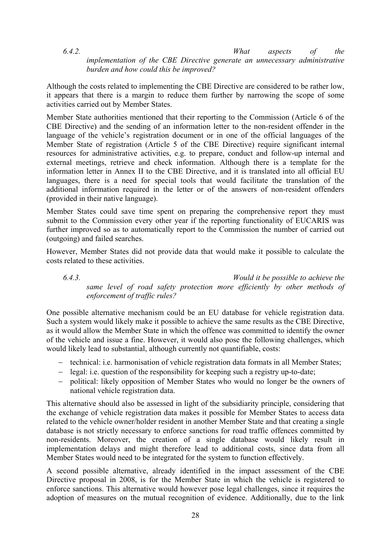*6.4.2. What aspects of the implementation of the CBE Directive generate an unnecessary administrative burden and how could this be improved?*

Although the costs related to implementing the CBE Directive are considered to be rather low, it appears that there is a margin to reduce them further by narrowing the scope of some activities carried out by Member States.

Member State authorities mentioned that their reporting to the Commission (Article 6 of the CBE Directive) and the sending of an information letter to the non-resident offender in the language of the vehicle's registration document or in one of the official languages of the Member State of registration (Article 5 of the CBE Directive) require significant internal resources for administrative activities, e.g. to prepare, conduct and follow-up internal and external meetings, retrieve and check information. Although there is a template for the information letter in Annex II to the CBE Directive, and it is translated into all official EU languages, there is a need for special tools that would facilitate the translation of the additional information required in the letter or of the answers of non-resident offenders (provided in their native language).

Member States could save time spent on preparing the comprehensive report they must submit to the Commission every other year if the reporting functionality of EUCARIS was further improved so as to automatically report to the Commission the number of carried out (outgoing) and failed searches.

However, Member States did not provide data that would make it possible to calculate the costs related to these activities.

*6.4.3. Would it be possible to achieve the same level of road safety protection more efficiently by other methods of enforcement of traffic rules?*

One possible alternative mechanism could be an EU database for vehicle registration data. Such a system would likely make it possible to achieve the same results as the CBE Directive, as it would allow the Member State in which the offence was committed to identify the owner of the vehicle and issue a fine. However, it would also pose the following challenges, which would likely lead to substantial, although currently not quantifiable, costs:

- − technical: i.e. harmonisation of vehicle registration data formats in all Member States;
- − legal: i.e. question of the responsibility for keeping such a registry up-to-date;
- − political: likely opposition of Member States who would no longer be the owners of national vehicle registration data.

This alternative should also be assessed in light of the subsidiarity principle, considering that the exchange of vehicle registration data makes it possible for Member States to access data related to the vehicle owner/holder resident in another Member State and that creating a single database is not strictly necessary to enforce sanctions for road traffic offences committed by non-residents. Moreover, the creation of a single database would likely result in implementation delays and might therefore lead to additional costs, since data from all Member States would need to be integrated for the system to function effectively.

A second possible alternative, already identified in the impact assessment of the CBE Directive proposal in 2008, is for the Member State in which the vehicle is registered to enforce sanctions. This alternative would however pose legal challenges, since it requires the adoption of measures on the mutual recognition of evidence. Additionally, due to the link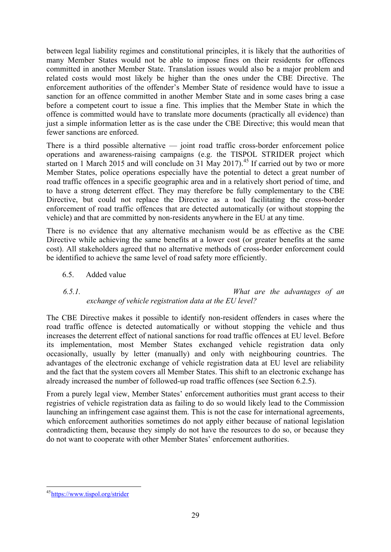between legal liability regimes and constitutional principles, it is likely that the authorities of many Member States would not be able to impose fines on their residents for offences committed in another Member State. Translation issues would also be a major problem and related costs would most likely be higher than the ones under the CBE Directive. The enforcement authorities of the offender's Member State of residence would have to issue a sanction for an offence committed in another Member State and in some cases bring a case before a competent court to issue a fine. This implies that the Member State in which the offence is committed would have to translate more documents (practically all evidence) than just a simple information letter as is the case under the CBE Directive; this would mean that fewer sanctions are enforced.

There is a third possible alternative — joint road traffic cross-border enforcement police operations and awareness-raising campaigns (e.g. the TISPOL STRIDER project which started on 1 March 2015 and will conclude on 31 May 2017).<sup>[45](#page-28-0)</sup> If carried out by two or more Member States, police operations especially have the potential to detect a great number of road traffic offences in a specific geographic area and in a relatively short period of time, and to have a strong deterrent effect. They may therefore be fully complementary to the CBE Directive, but could not replace the Directive as a tool facilitating the cross-border enforcement of road traffic offences that are detected automatically (or without stopping the vehicle) and that are committed by non-residents anywhere in the EU at any time.

There is no evidence that any alternative mechanism would be as effective as the CBE Directive while achieving the same benefits at a lower cost (or greater benefits at the same cost). All stakeholders agreed that no alternative methods of cross-border enforcement could be identified to achieve the same level of road safety more efficiently.

6.5. Added value

*6.5.1. What are the advantages of an exchange of vehicle registration data at the EU level?*

The CBE Directive makes it possible to identify non-resident offenders in cases where the road traffic offence is detected automatically or without stopping the vehicle and thus increases the deterrent effect of national sanctions for road traffic offences at EU level. Before its implementation, most Member States exchanged vehicle registration data only occasionally, usually by letter (manually) and only with neighbouring countries. The advantages of the electronic exchange of vehicle registration data at EU level are reliability and the fact that the system covers all Member States. This shift to an electronic exchange has already increased the number of followed-up road traffic offences (see Section 6.2.5).

From a purely legal view, Member States' enforcement authorities must grant access to their registries of vehicle registration data as failing to do so would likely lead to the Commission launching an infringement case against them. This is not the case for international agreements, which enforcement authorities sometimes do not apply either because of national legislation contradicting them, because they simply do not have the resources to do so, or because they do not want to cooperate with other Member States' enforcement authorities.

<span id="page-28-0"></span>**<sup>.</sup>** <sup>45</sup>https://www.tispol.org/strider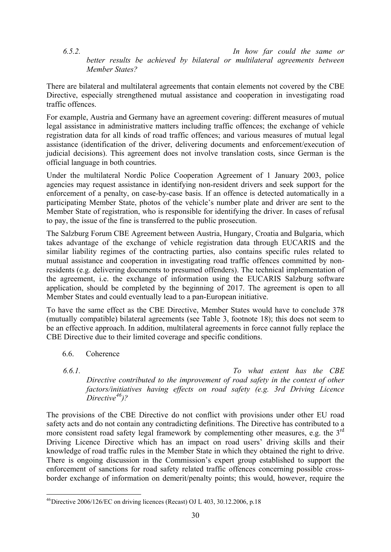*6.5.2. In how far could the same or better results be achieved by bilateral or multilateral agreements between Member States?*

There are bilateral and multilateral agreements that contain elements not covered by the CBE Directive, especially strengthened mutual assistance and cooperation in investigating road traffic offences.

For example, Austria and Germany have an agreement covering: different measures of mutual legal assistance in administrative matters including traffic offences; the exchange of vehicle registration data for all kinds of road traffic offences; and various measures of mutual legal assistance (identification of the driver, delivering documents and enforcement/execution of judicial decisions). This agreement does not involve translation costs, since German is the official language in both countries.

Under the multilateral Nordic Police Cooperation Agreement of 1 January 2003, police agencies may request assistance in identifying non-resident drivers and seek support for the enforcement of a penalty, on case-by-case basis. If an offence is detected automatically in a participating Member State, photos of the vehicle's number plate and driver are sent to the Member State of registration, who is responsible for identifying the driver. In cases of refusal to pay, the issue of the fine is transferred to the public prosecution.

The Salzburg Forum CBE Agreement between Austria, Hungary, Croatia and Bulgaria, which takes advantage of the exchange of vehicle registration data through EUCARIS and the similar liability regimes of the contracting parties, also contains specific rules related to mutual assistance and cooperation in investigating road traffic offences committed by nonresidents (e.g. delivering documents to presumed offenders). The technical implementation of the agreement, i.e. the exchange of information using the EUCARIS Salzburg software application, should be completed by the beginning of 2017. The agreement is open to all Member States and could eventually lead to a pan-European initiative.

To have the same effect as the CBE Directive, Member States would have to conclude 378 (mutually compatible) bilateral agreements (see Table 3, footnote 18); this does not seem to be an effective approach. In addition, multilateral agreements in force cannot fully replace the CBE Directive due to their limited coverage and specific conditions.

- 6.6. Coherence
- *6.6.1. To what extent has the CBE Directive contributed to the improvement of road safety in the context of other factors/initiatives having effects on road safety (e.g. 3rd Driving Licence Directive[46](#page-29-0))?*

The provisions of the CBE Directive do not conflict with provisions under other EU road safety acts and do not contain any contradicting definitions. The Directive has contributed to a more consistent road safety legal framework by complementing other measures, e.g. the  $3<sup>rd</sup>$ Driving Licence Directive which has an impact on road users' driving skills and their knowledge of road traffic rules in the Member State in which they obtained the right to drive. There is ongoing discussion in the Commission's expert group established to support the enforcement of sanctions for road safety related traffic offences concerning possible crossborder exchange of information on demerit/penalty points; this would, however, require the

<span id="page-29-0"></span>**<sup>.</sup>**  $^{46}$ Directive 2006/126/EC on driving licences (Recast) OJ L 403, 30.12.2006, p.18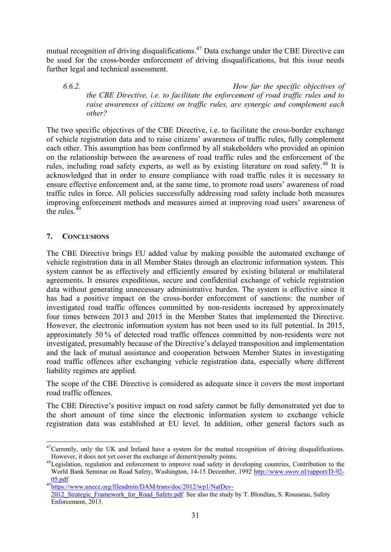mutual recognition of driving disqualifications.<sup>[47](#page-30-0)</sup> Data exchange under the CBE Directive can be used for the cross-border enforcement of driving disqualifications, but this issue needs further legal and technical assessment.

*6.6.2. How far the specific objectives of the CBE Directive, i.e. to facilitate the enforcement of road traffic rules and to raise awareness of citizens on traffic rules, are synergic and complement each other?*

The two specific objectives of the CBE Directive, i.e. to facilitate the cross-border exchange of vehicle registration data and to raise citizens' awareness of traffic rules, fully complement each other. This assumption has been confirmed by all stakeholders who provided an opinion on the relationship between the awareness of road traffic rules and the enforcement of the rules, including road safety experts, as well as by existing literature on road safety.<sup>[48](#page-30-1)</sup> It is acknowledged that in order to ensure compliance with road traffic rules it is necessary to ensure effective enforcement and, at the same time, to promote road users' awareness of road traffic rules in force. All policies successfully addressing road safety include both measures improving enforcement methods and measures aimed at improving road users' awareness of the rules. $49$ 

# **7. CONCLUSIONS**

The CBE Directive brings EU added value by making possible the automated exchange of vehicle registration data in all Member States through an electronic information system. This system cannot be as effectively and efficiently ensured by existing bilateral or multilateral agreements. It ensures expeditious, secure and confidential exchange of vehicle registration data without generating unnecessary administrative burden. The system is effective since it has had a positive impact on the cross-border enforcement of sanctions: the number of investigated road traffic offences committed by non-residents increased by approximately four times between 2013 and 2015 in the Member States that implemented the Directive. However, the electronic information system has not been used to its full potential. In 2015, approximately 50 % of detected road traffic offences committed by non-residents were not investigated, presumably because of the Directive's delayed transposition and implementation and the lack of mutual assistance and cooperation between Member States in investigating road traffic offences after exchanging vehicle registration data, especially where different liability regimes are applied.

The scope of the CBE Directive is considered as adequate since it covers the most important road traffic offences.

The CBE Directive's positive impact on road safety cannot be fully demonstrated yet due to the short amount of time since the electronic information system to exchange vehicle registration data was established at EU level. In addition, other general factors such as

<span id="page-30-0"></span>**<sup>.</sup>**  $^{47}$ Currently, only the UK and Ireland have a system for the mutual recognition of driving disqualifications.<br>However, it does not vet cover the exchange of demerit/penalty points.

<span id="page-30-1"></span><sup>&</sup>lt;sup>48</sup>Legislation, regulation and enforcement to improve road safety in developing countries, Contribution to the World Bank Seminar on Road Safety, Washington, 14-15 December, 1992 [http://www.swov.nl/rapport/D-92-](http://www.swov.nl/rapport/D-92-05.pdf)

<span id="page-30-2"></span><sup>49&</sup>lt;br>https://www.unece.org/fileadmin/DAM/trans/doc/2012/wp1/NatDev-2012 Strategic Framework for Road Safety.pdf See also the study by T. Blondiau, S. Rousseau, Safety Enforcement, 2013.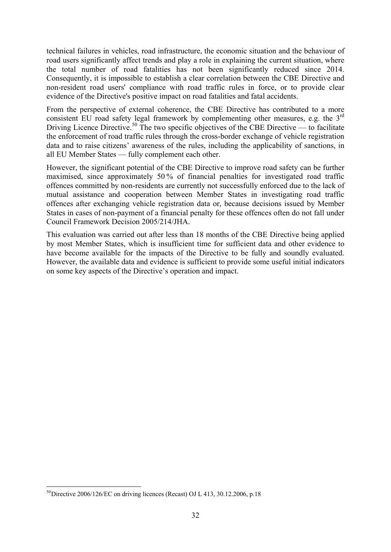technical failures in vehicles, road infrastructure, the economic situation and the behaviour of road users significantly affect trends and play a role in explaining the current situation, where the total number of road fatalities has not been significantly reduced since 2014. Consequently, it is impossible to establish a clear correlation between the CBE Directive and non-resident road users' compliance with road traffic rules in force, or to provide clear evidence of the Directive's positive impact on road fatalities and fatal accidents.

From the perspective of external coherence, the CBE Directive has contributed to a more consistent EU road safety legal framework by complementing other measures, e.g. the 3<sup>rd</sup> Driving Licence Directive.<sup>[50](#page-31-0)</sup> The two specific objectives of the CBE Directive — to facilitate the enforcement of road traffic rules through the cross-border exchange of vehicle registration data and to raise citizens' awareness of the rules, including the applicability of sanctions, in all EU Member States — fully complement each other.

However, the significant potential of the CBE Directive to improve road safety can be further maximised, since approximately 50 % of financial penalties for investigated road traffic offences committed by non-residents are currently not successfully enforced due to the lack of mutual assistance and cooperation between Member States in investigating road traffic offences after exchanging vehicle registration data or, because decisions issued by Member States in cases of non-payment of a financial penalty for these offences often do not fall under Council Framework Decision 2005/214/JHA.

This evaluation was carried out after less than 18 months of the CBE Directive being applied by most Member States, which is insufficient time for sufficient data and other evidence to have become available for the impacts of the Directive to be fully and soundly evaluated. However, the available data and evidence is sufficient to provide some useful initial indicators on some key aspects of the Directive's operation and impact.

<span id="page-31-0"></span>**<sup>.</sup>**  $^{50}$ Directive 2006/126/EC on driving licences (Recast) OJ L 413, 30.12.2006, p.18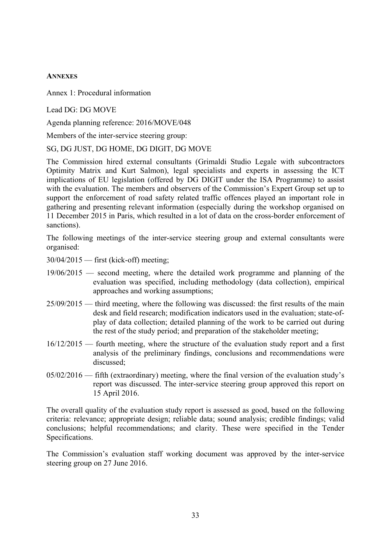#### **ANNEXES**

Annex 1: Procedural information

Lead DG: DG MOVE

Agenda planning reference: 2016/MOVE/048

Members of the inter-service steering group:

SG, DG JUST, DG HOME, DG DIGIT, DG MOVE

The Commission hired external consultants (Grimaldi Studio Legale with subcontractors Optimity Matrix and Kurt Salmon), legal specialists and experts in assessing the ICT implications of EU legislation (offered by DG DIGIT under the ISA Programme) to assist with the evaluation. The members and observers of the Commission's Expert Group set up to support the enforcement of road safety related traffic offences played an important role in gathering and presenting relevant information (especially during the workshop organised on 11 December 2015 in Paris, which resulted in a lot of data on the cross-border enforcement of sanctions).

The following meetings of the inter-service steering group and external consultants were organised:

30/04/2015 — first (kick-off) meeting;

- 19/06/2015 second meeting, where the detailed work programme and planning of the evaluation was specified, including methodology (data collection), empirical approaches and working assumptions;
- 25/09/2015 third meeting, where the following was discussed: the first results of the main desk and field research; modification indicators used in the evaluation; state-ofplay of data collection; detailed planning of the work to be carried out during the rest of the study period; and preparation of the stakeholder meeting;
- 16/12/2015 fourth meeting, where the structure of the evaluation study report and a first analysis of the preliminary findings, conclusions and recommendations were discussed;
- 05/02/2016 fifth (extraordinary) meeting, where the final version of the evaluation study's report was discussed. The inter-service steering group approved this report on 15 April 2016.

The overall quality of the evaluation study report is assessed as good, based on the following criteria: relevance; appropriate design; reliable data; sound analysis; credible findings; valid conclusions; helpful recommendations; and clarity. These were specified in the Tender Specifications.

The Commission's evaluation staff working document was approved by the inter-service steering group on 27 June 2016.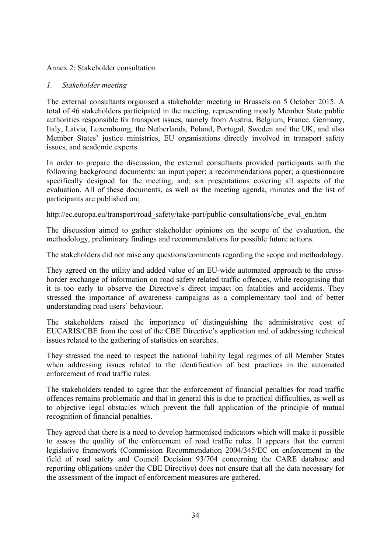#### Annex 2: Stakeholder consultation

#### *1. Stakeholder meeting*

The external consultants organised a stakeholder meeting in Brussels on 5 October 2015. A total of 46 stakeholders participated in the meeting, representing mostly Member State public authorities responsible for transport issues, namely from Austria, Belgium, France, Germany, Italy, Latvia, Luxembourg, the Netherlands, Poland, Portugal, Sweden and the UK, and also Member States' justice ministries, EU organisations directly involved in transport safety issues, and academic experts.

In order to prepare the discussion, the external consultants provided participants with the following background documents: an input paper; a recommendations paper; a questionnaire specifically designed for the meeting, and; six presentations covering all aspects of the evaluation. All of these documents, as well as the meeting agenda, minutes and the list of participants are published on:

http://ec.europa.eu/transport/road\_safety/take-part/public-consultations/cbe\_eval\_en.htm

The discussion aimed to gather stakeholder opinions on the scope of the evaluation, the methodology, preliminary findings and recommendations for possible future actions.

The stakeholders did not raise any questions/comments regarding the scope and methodology.

They agreed on the utility and added value of an EU-wide automated approach to the crossborder exchange of information on road safety related traffic offences, while recognising that it is too early to observe the Directive's direct impact on fatalities and accidents. They stressed the importance of awareness campaigns as a complementary tool and of better understanding road users' behaviour.

The stakeholders raised the importance of distinguishing the administrative cost of EUCARIS/CBE from the cost of the CBE Directive's application and of addressing technical issues related to the gathering of statistics on searches.

They stressed the need to respect the national liability legal regimes of all Member States when addressing issues related to the identification of best practices in the automated enforcement of road traffic rules.

The stakeholders tended to agree that the enforcement of financial penalties for road traffic offences remains problematic and that in general this is due to practical difficulties, as well as to objective legal obstacles which prevent the full application of the principle of mutual recognition of financial penalties.

They agreed that there is a need to develop harmonised indicators which will make it possible to assess the quality of the enforcement of road traffic rules. It appears that the current legislative framework (Commission Recommendation 2004/345/EC on enforcement in the field of road safety and Council Decision 93/704 concerning the CARE database and reporting obligations under the CBE Directive) does not ensure that all the data necessary for the assessment of the impact of enforcement measures are gathered.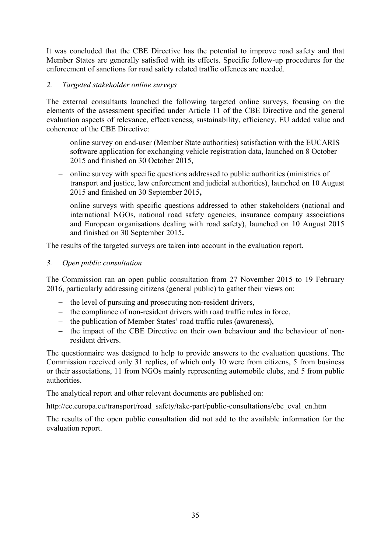It was concluded that the CBE Directive has the potential to improve road safety and that Member States are generally satisfied with its effects. Specific follow-up procedures for the enforcement of sanctions for road safety related traffic offences are needed.

# *2. Targeted stakeholder online surveys*

The external consultants launched the following targeted online surveys, focusing on the elements of the assessment specified under Article 11 of the CBE Directive and the general evaluation aspects of relevance, effectiveness, sustainability, efficiency, EU added value and coherence of the CBE Directive:

- − online survey on end-user (Member State authorities) satisfaction with the EUCARIS software application for exchanging vehicle registration data, launched on 8 October 2015 and finished on 30 October 2015,
- − online survey with specific questions addressed to public authorities (ministries of transport and justice, law enforcement and judicial authorities), launched on 10 August 2015 and finished on 30 September 2015**,**
- − online surveys with specific questions addressed to other stakeholders (national and international NGOs, national road safety agencies, insurance company associations and European organisations dealing with road safety), launched on 10 August 2015 and finished on 30 September 2015**.**

The results of the targeted surveys are taken into account in the evaluation report.

## *3. Open public consultation*

The Commission ran an open public consultation from 27 November 2015 to 19 February 2016, particularly addressing citizens (general public) to gather their views on:

- − the level of pursuing and prosecuting non-resident drivers,
- − the compliance of non-resident drivers with road traffic rules in force,
- − the publication of Member States' road traffic rules (awareness),
- − the impact of the CBE Directive on their own behaviour and the behaviour of nonresident drivers.

The questionnaire was designed to help to provide answers to the evaluation questions. The Commission received only 31 replies, of which only 10 were from citizens, 5 from business or their associations, 11 from NGOs mainly representing automobile clubs, and 5 from public authorities.

The analytical report and other relevant documents are published on:

http://ec.europa.eu/transport/road\_safety/take-part/public-consultations/cbe\_eval\_en.htm

The results of the open public consultation did not add to the available information for the evaluation report.